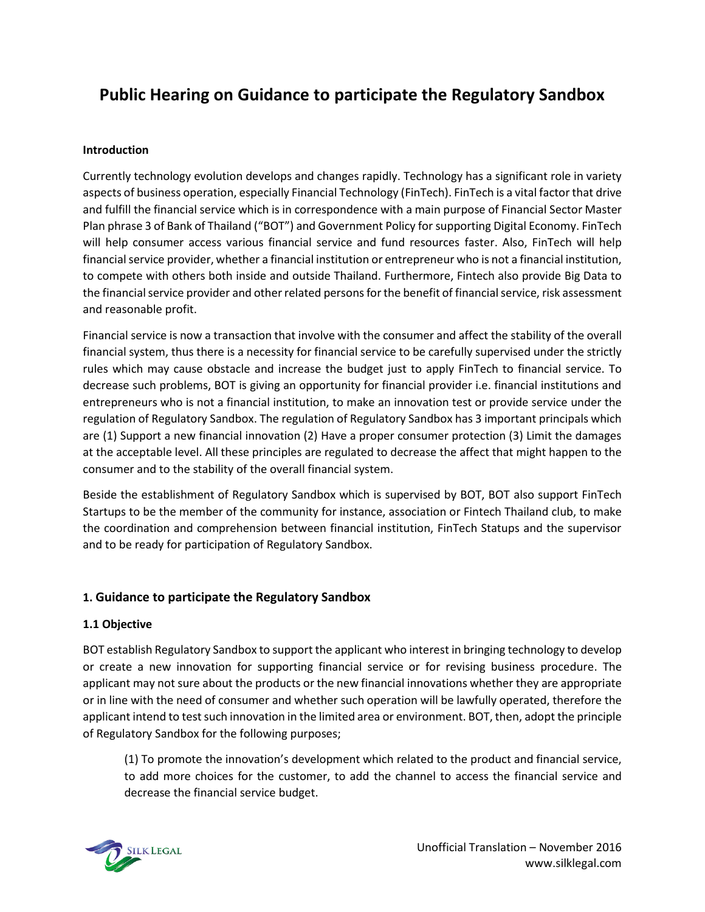## **Public Hearing on Guidance to participate the Regulatory Sandbox**

#### **Introduction**

Currently technology evolution develops and changes rapidly. Technology has a significant role in variety aspects of business operation, especially Financial Technology (FinTech). FinTech is a vital factor that drive and fulfill the financial service which is in correspondence with a main purpose of Financial Sector Master Plan phrase 3 of Bank of Thailand ("BOT") and Government Policy for supporting Digital Economy. FinTech will help consumer access various financial service and fund resources faster. Also, FinTech will help financial service provider, whether a financial institution or entrepreneur who is not a financial institution, to compete with others both inside and outside Thailand. Furthermore, Fintech also provide Big Data to the financial service provider and other related persons for the benefit of financial service, risk assessment and reasonable profit.

Financial service is now a transaction that involve with the consumer and affect the stability of the overall financial system, thus there is a necessity for financial service to be carefully supervised under the strictly rules which may cause obstacle and increase the budget just to apply FinTech to financial service. To decrease such problems, BOT is giving an opportunity for financial provider i.e. financial institutions and entrepreneurs who is not a financial institution, to make an innovation test or provide service under the regulation of Regulatory Sandbox. The regulation of Regulatory Sandbox has 3 important principals which are (1) Support a new financial innovation (2) Have a proper consumer protection (3) Limit the damages at the acceptable level. All these principles are regulated to decrease the affect that might happen to the consumer and to the stability of the overall financial system.

Beside the establishment of Regulatory Sandbox which is supervised by BOT, BOT also support FinTech Startups to be the member of the community for instance, association or Fintech Thailand club, to make the coordination and comprehension between financial institution, FinTech Statups and the supervisor and to be ready for participation of Regulatory Sandbox.

### **1. Guidance to participate the Regulatory Sandbox**

### **1.1 Objective**

BOT establish Regulatory Sandbox to support the applicant who interest in bringing technology to develop or create a new innovation for supporting financial service or for revising business procedure. The applicant may not sure about the products or the new financial innovations whether they are appropriate or in line with the need of consumer and whether such operation will be lawfully operated, therefore the applicant intend to test such innovation in the limited area or environment. BOT, then, adopt the principle of Regulatory Sandbox for the following purposes;

(1) To promote the innovation's development which related to the product and financial service, to add more choices for the customer, to add the channel to access the financial service and decrease the financial service budget.

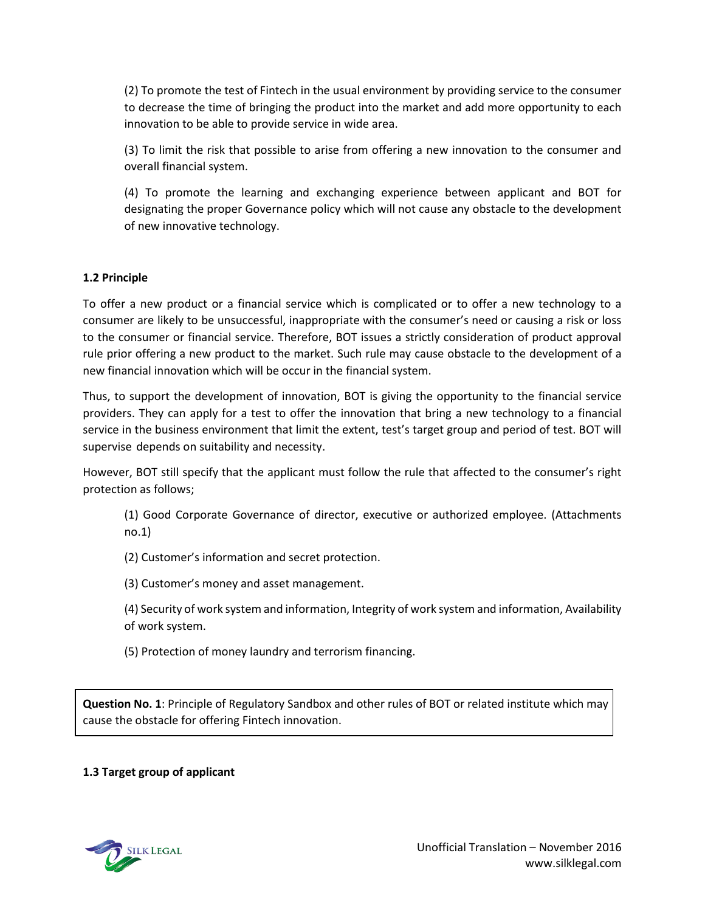(2) To promote the test of Fintech in the usual environment by providing service to the consumer to decrease the time of bringing the product into the market and add more opportunity to each innovation to be able to provide service in wide area.

(3) To limit the risk that possible to arise from offering a new innovation to the consumer and overall financial system.

(4) To promote the learning and exchanging experience between applicant and BOT for designating the proper Governance policy which will not cause any obstacle to the development of new innovative technology.

### **1.2 Principle**

To offer a new product or a financial service which is complicated or to offer a new technology to a consumer are likely to be unsuccessful, inappropriate with the consumer's need or causing a risk or loss to the consumer or financial service. Therefore, BOT issues a strictly consideration of product approval rule prior offering a new product to the market. Such rule may cause obstacle to the development of a new financial innovation which will be occur in the financial system.

Thus, to support the development of innovation, BOT is giving the opportunity to the financial service providers. They can apply for a test to offer the innovation that bring a new technology to a financial service in the business environment that limit the extent, test's target group and period of test. BOT will supervise depends on suitability and necessity.

However, BOT still specify that the applicant must follow the rule that affected to the consumer's right protection as follows;

(1) Good Corporate Governance of director, executive or authorized employee. (Attachments no.1)

(2) Customer's information and secret protection.

(3) Customer's money and asset management.

(4) Security of work system and information, Integrity of work system and information, Availability of work system.

(5) Protection of money laundry and terrorism financing.

**Question No. 1**: Principle of Regulatory Sandbox and other rules of BOT or related institute which may cause the obstacle for offering Fintech innovation.

### **1.3 Target group of applicant**

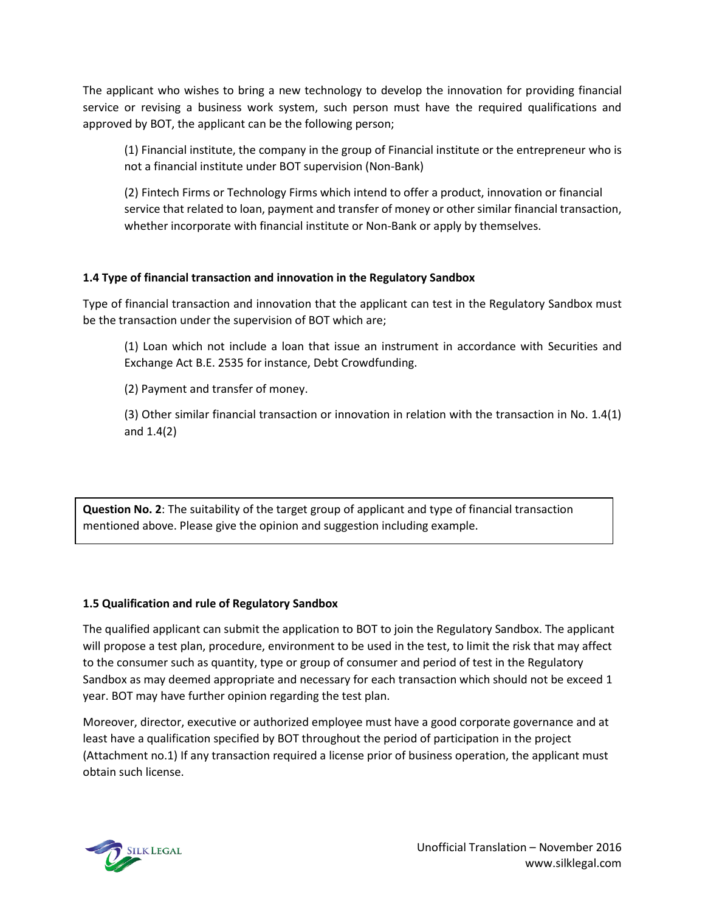The applicant who wishes to bring a new technology to develop the innovation for providing financial service or revising a business work system, such person must have the required qualifications and approved by BOT, the applicant can be the following person;

(1) Financial institute, the company in the group of Financial institute or the entrepreneur who is not a financial institute under BOT supervision (Non-Bank)

(2) Fintech Firms or Technology Firms which intend to offer a product, innovation or financial service that related to loan, payment and transfer of money or other similar financial transaction, whether incorporate with financial institute or Non-Bank or apply by themselves.

### **1.4 Type of financial transaction and innovation in the Regulatory Sandbox**

Type of financial transaction and innovation that the applicant can test in the Regulatory Sandbox must be the transaction under the supervision of BOT which are;

(1) Loan which not include a loan that issue an instrument in accordance with Securities and Exchange Act B.E. 2535 for instance, Debt Crowdfunding.

(2) Payment and transfer of money.

(3) Other similar financial transaction or innovation in relation with the transaction in No. 1.4(1) and 1.4(2)

**Question No. 2**: The suitability of the target group of applicant and type of financial transaction mentioned above. Please give the opinion and suggestion including example.

#### **1.5 Qualification and rule of Regulatory Sandbox**

The qualified applicant can submit the application to BOT to join the Regulatory Sandbox. The applicant will propose a test plan, procedure, environment to be used in the test, to limit the risk that may affect to the consumer such as quantity, type or group of consumer and period of test in the Regulatory Sandbox as may deemed appropriate and necessary for each transaction which should not be exceed 1 year. BOT may have further opinion regarding the test plan.

Moreover, director, executive or authorized employee must have a good corporate governance and at least have a qualification specified by BOT throughout the period of participation in the project (Attachment no.1) If any transaction required a license prior of business operation, the applicant must obtain such license.

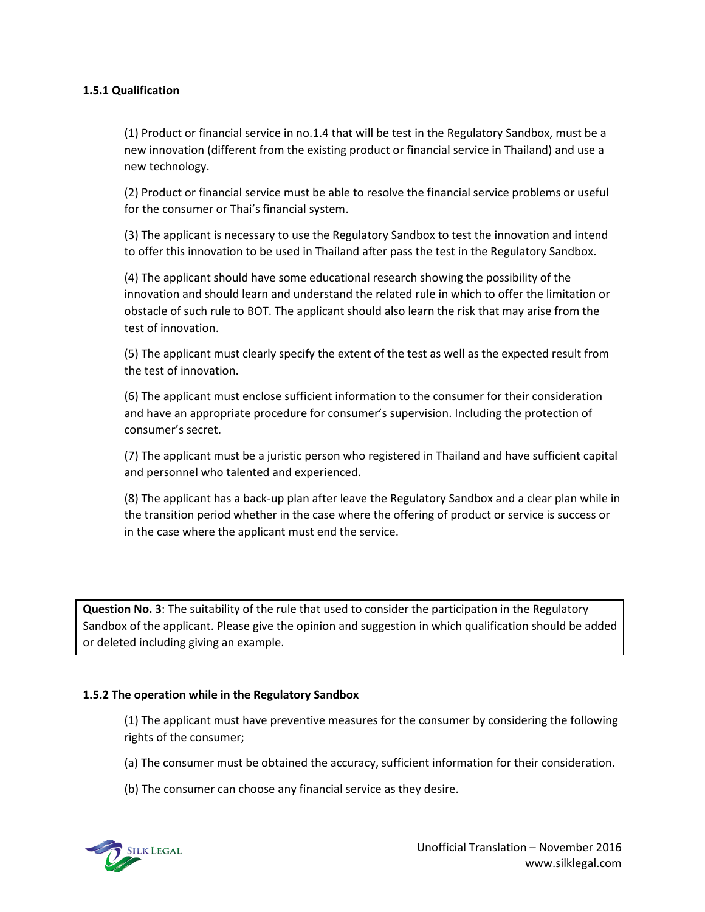#### **1.5.1 Qualification**

(1) Product or financial service in no.1.4 that will be test in the Regulatory Sandbox, must be a new innovation (different from the existing product or financial service in Thailand) and use a new technology.

(2) Product or financial service must be able to resolve the financial service problems or useful for the consumer or Thai's financial system.

(3) The applicant is necessary to use the Regulatory Sandbox to test the innovation and intend to offer this innovation to be used in Thailand after pass the test in the Regulatory Sandbox.

(4) The applicant should have some educational research showing the possibility of the innovation and should learn and understand the related rule in which to offer the limitation or obstacle of such rule to BOT. The applicant should also learn the risk that may arise from the test of innovation.

(5) The applicant must clearly specify the extent of the test as well as the expected result from the test of innovation.

(6) The applicant must enclose sufficient information to the consumer for their consideration and have an appropriate procedure for consumer's supervision. Including the protection of consumer's secret.

(7) The applicant must be a juristic person who registered in Thailand and have sufficient capital and personnel who talented and experienced.

(8) The applicant has a back-up plan after leave the Regulatory Sandbox and a clear plan while in the transition period whether in the case where the offering of product or service is success or in the case where the applicant must end the service.

**Question No. 3**: The suitability of the rule that used to consider the participation in the Regulatory Sandbox of the applicant. Please give the opinion and suggestion in which qualification should be added or deleted including giving an example.

#### **1.5.2 The operation while in the Regulatory Sandbox**

(1) The applicant must have preventive measures for the consumer by considering the following rights of the consumer;

(a) The consumer must be obtained the accuracy, sufficient information for their consideration.

(b) The consumer can choose any financial service as they desire.

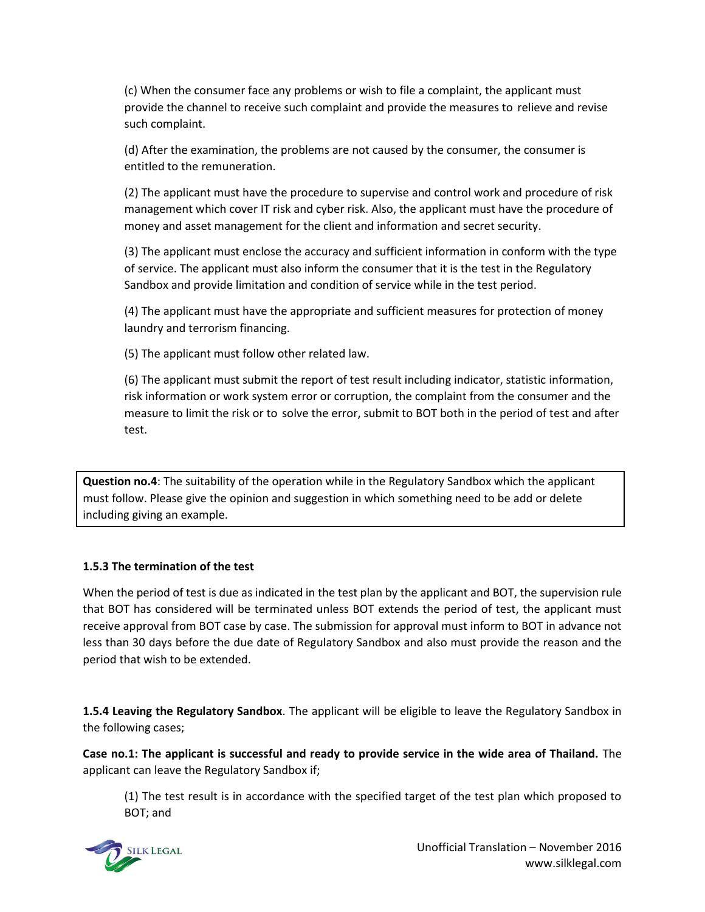(c) When the consumer face any problems or wish to file a complaint, the applicant must provide the channel to receive such complaint and provide the measures to relieve and revise such complaint.

(d) After the examination, the problems are not caused by the consumer, the consumer is entitled to the remuneration.

(2) The applicant must have the procedure to supervise and control work and procedure of risk management which cover IT risk and cyber risk. Also, the applicant must have the procedure of money and asset management for the client and information and secret security.

(3) The applicant must enclose the accuracy and sufficient information in conform with the type of service. The applicant must also inform the consumer that it is the test in the Regulatory Sandbox and provide limitation and condition of service while in the test period.

(4) The applicant must have the appropriate and sufficient measures for protection of money laundry and terrorism financing.

(5) The applicant must follow other related law.

(6) The applicant must submit the report of test result including indicator, statistic information, risk information or work system error or corruption, the complaint from the consumer and the measure to limit the risk or to solve the error, submit to BOT both in the period of test and after test.

**Question no.4**: The suitability of the operation while in the Regulatory Sandbox which the applicant must follow. Please give the opinion and suggestion in which something need to be add or delete including giving an example.

### **1.5.3 The termination of the test**

When the period of test is due as indicated in the test plan by the applicant and BOT, the supervision rule that BOT has considered will be terminated unless BOT extends the period of test, the applicant must receive approval from BOT case by case. The submission for approval must inform to BOT in advance not less than 30 days before the due date of Regulatory Sandbox and also must provide the reason and the period that wish to be extended.

**1.5.4 Leaving the Regulatory Sandbox**. The applicant will be eligible to leave the Regulatory Sandbox in the following cases;

**Case no.1: The applicant is successful and ready to provide service in the wide area of Thailand.** The applicant can leave the Regulatory Sandbox if;

(1) The test result is in accordance with the specified target of the test plan which proposed to BOT; and

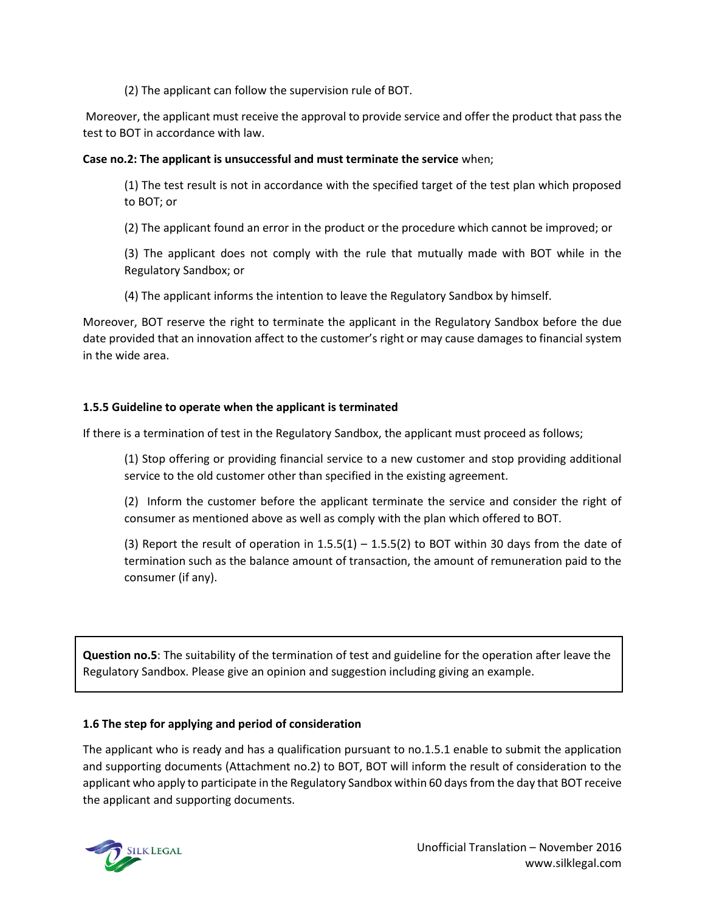(2) The applicant can follow the supervision rule of BOT.

Moreover, the applicant must receive the approval to provide service and offer the product that pass the test to BOT in accordance with law.

### **Case no.2: The applicant is unsuccessful and must terminate the service** when;

(1) The test result is not in accordance with the specified target of the test plan which proposed to BOT; or

(2) The applicant found an error in the product or the procedure which cannot be improved; or

(3) The applicant does not comply with the rule that mutually made with BOT while in the Regulatory Sandbox; or

(4) The applicant informs the intention to leave the Regulatory Sandbox by himself.

Moreover, BOT reserve the right to terminate the applicant in the Regulatory Sandbox before the due date provided that an innovation affect to the customer's right or may cause damages to financial system in the wide area.

### **1.5.5 Guideline to operate when the applicant is terminated**

If there is a termination of test in the Regulatory Sandbox, the applicant must proceed as follows;

(1) Stop offering or providing financial service to a new customer and stop providing additional service to the old customer other than specified in the existing agreement.

(2) Inform the customer before the applicant terminate the service and consider the right of consumer as mentioned above as well as comply with the plan which offered to BOT.

(3) Report the result of operation in  $1.5.5(1) - 1.5.5(2)$  to BOT within 30 days from the date of termination such as the balance amount of transaction, the amount of remuneration paid to the consumer (if any).

**Question no.5**: The suitability of the termination of test and guideline for the operation after leave the Regulatory Sandbox. Please give an opinion and suggestion including giving an example.

### **1.6 The step for applying and period of consideration**

The applicant who is ready and has a qualification pursuant to no.1.5.1 enable to submit the application and supporting documents (Attachment no.2) to BOT, BOT will inform the result of consideration to the applicant who apply to participate in the Regulatory Sandbox within 60 days from the day that BOT receive the applicant and supporting documents.

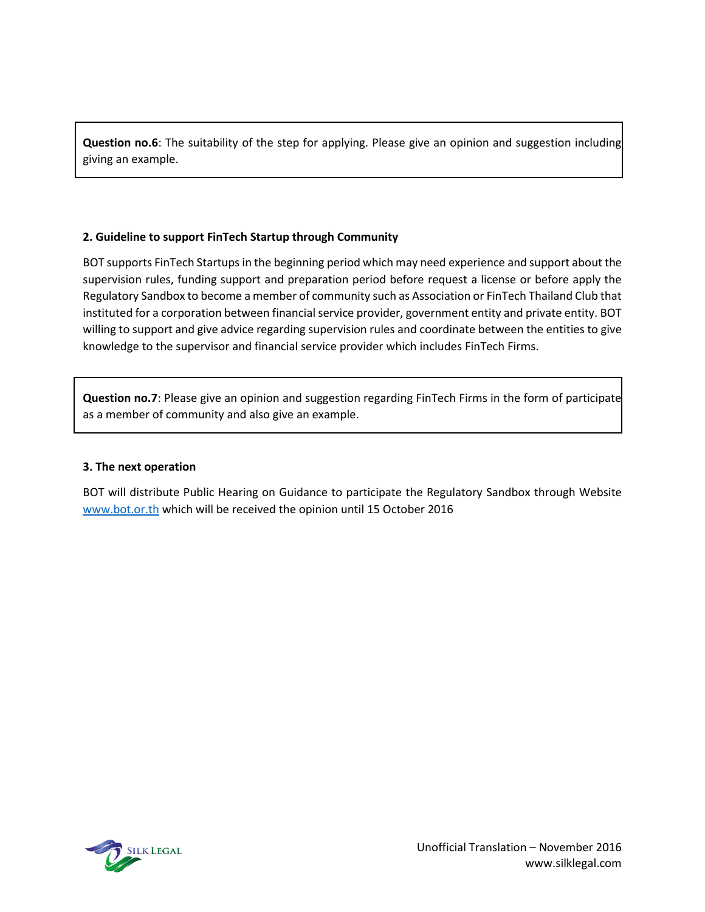**Question no.6**: The suitability of the step for applying. Please give an opinion and suggestion including giving an example.

### **2. Guideline to support FinTech Startup through Community**

BOT supports FinTech Startups in the beginning period which may need experience and support about the supervision rules, funding support and preparation period before request a license or before apply the Regulatory Sandbox to become a member of community such as Association or FinTech Thailand Club that instituted for a corporation between financial service provider, government entity and private entity. BOT willing to support and give advice regarding supervision rules and coordinate between the entities to give knowledge to the supervisor and financial service provider which includes FinTech Firms.

**Question no.7**: Please give an opinion and suggestion regarding FinTech Firms in the form of participate as a member of community and also give an example.

### **3. The next operation**

BOT will distribute Public Hearing on Guidance to participate the Regulatory Sandbox through Website [www.bot.or.th](http://www.bot.or.th/) which will be received the opinion until 15 October 2016

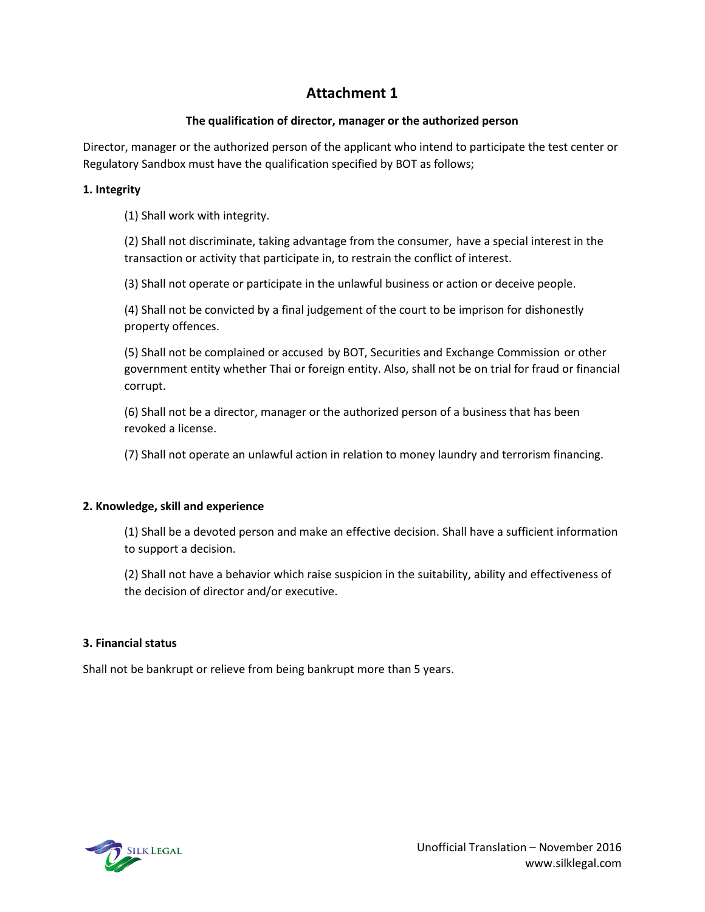## **Attachment 1**

### **The qualification of director, manager or the authorized person**

Director, manager or the authorized person of the applicant who intend to participate the test center or Regulatory Sandbox must have the qualification specified by BOT as follows;

### **1. Integrity**

(1) Shall work with integrity.

(2) Shall not discriminate, taking advantage from the consumer, have a special interest in the transaction or activity that participate in, to restrain the conflict of interest.

(3) Shall not operate or participate in the unlawful business or action or deceive people.

(4) Shall not be convicted by a final judgement of the court to be imprison for dishonestly property offences.

(5) Shall not be complained or accused by BOT, Securities and Exchange Commission or other government entity whether Thai or foreign entity. Also, shall not be on trial for fraud or financial corrupt.

(6) Shall not be a director, manager or the authorized person of a business that has been revoked a license.

(7) Shall not operate an unlawful action in relation to money laundry and terrorism financing.

### **2. Knowledge, skill and experience**

(1) Shall be a devoted person and make an effective decision. Shall have a sufficient information to support a decision.

(2) Shall not have a behavior which raise suspicion in the suitability, ability and effectiveness of the decision of director and/or executive.

#### **3. Financial status**

Shall not be bankrupt or relieve from being bankrupt more than 5 years.

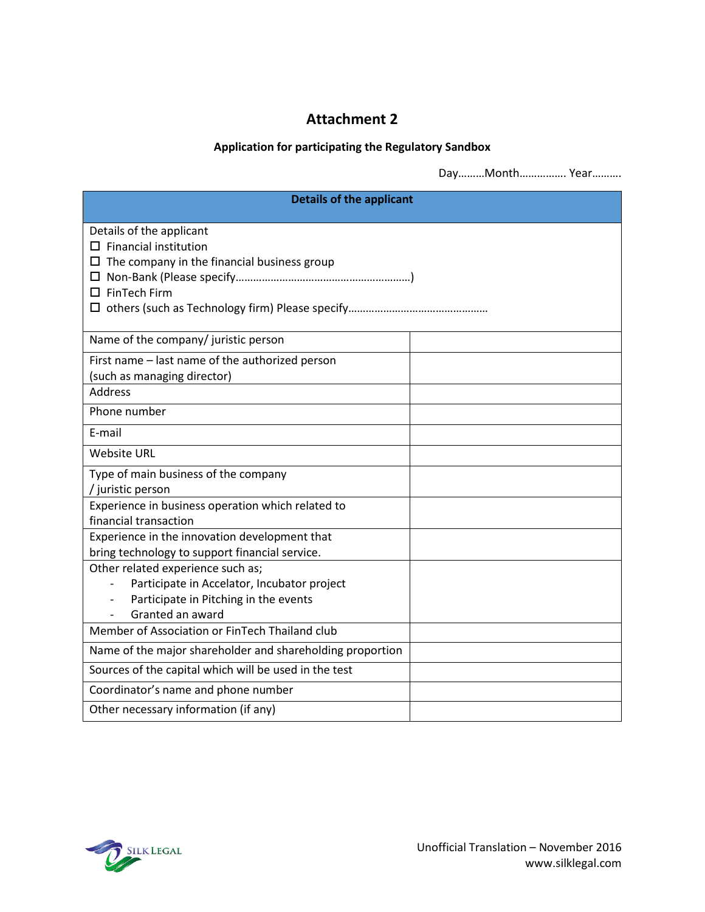## **Attachment 2**

### **Application for participating the Regulatory Sandbox**

Day………Month……………. Year……….

| <b>Details of the applicant</b>                                                                                                               |  |
|-----------------------------------------------------------------------------------------------------------------------------------------------|--|
| Details of the applicant<br>$\square$ Financial institution<br>$\Box$ The company in the financial business group<br>$\square$ FinTech Firm   |  |
| Name of the company/ juristic person                                                                                                          |  |
| First name - last name of the authorized person<br>(such as managing director)<br><b>Address</b>                                              |  |
| Phone number                                                                                                                                  |  |
| E-mail                                                                                                                                        |  |
| <b>Website URL</b>                                                                                                                            |  |
| Type of main business of the company<br>/ juristic person                                                                                     |  |
| Experience in business operation which related to<br>financial transaction                                                                    |  |
| Experience in the innovation development that<br>bring technology to support financial service.                                               |  |
| Other related experience such as;<br>Participate in Accelator, Incubator project<br>Participate in Pitching in the events<br>Granted an award |  |
| Member of Association or FinTech Thailand club                                                                                                |  |
| Name of the major shareholder and shareholding proportion                                                                                     |  |
| Sources of the capital which will be used in the test                                                                                         |  |
| Coordinator's name and phone number                                                                                                           |  |
| Other necessary information (if any)                                                                                                          |  |

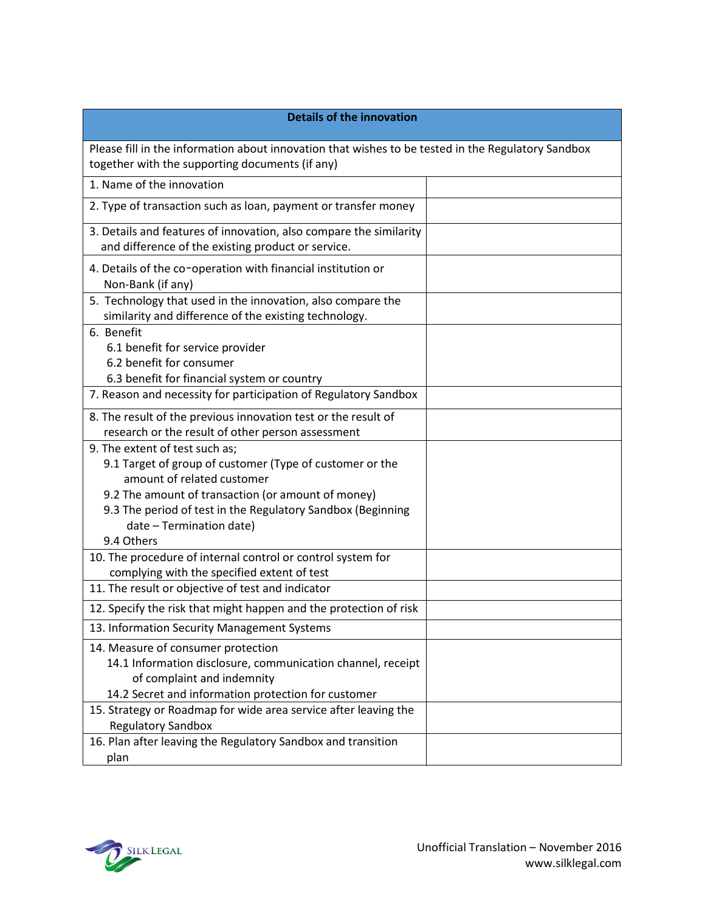| <b>Details of the innovation</b>                                                                                                                      |  |
|-------------------------------------------------------------------------------------------------------------------------------------------------------|--|
| Please fill in the information about innovation that wishes to be tested in the Regulatory Sandbox<br>together with the supporting documents (if any) |  |
| 1. Name of the innovation                                                                                                                             |  |
| 2. Type of transaction such as loan, payment or transfer money                                                                                        |  |
| 3. Details and features of innovation, also compare the similarity<br>and difference of the existing product or service.                              |  |
| 4. Details of the co-operation with financial institution or<br>Non-Bank (if any)                                                                     |  |
| 5. Technology that used in the innovation, also compare the<br>similarity and difference of the existing technology.                                  |  |
| 6. Benefit                                                                                                                                            |  |
| 6.1 benefit for service provider                                                                                                                      |  |
| 6.2 benefit for consumer                                                                                                                              |  |
| 6.3 benefit for financial system or country<br>7. Reason and necessity for participation of Regulatory Sandbox                                        |  |
| 8. The result of the previous innovation test or the result of                                                                                        |  |
| research or the result of other person assessment                                                                                                     |  |
| 9. The extent of test such as;                                                                                                                        |  |
| 9.1 Target of group of customer (Type of customer or the                                                                                              |  |
| amount of related customer                                                                                                                            |  |
| 9.2 The amount of transaction (or amount of money)                                                                                                    |  |
| 9.3 The period of test in the Regulatory Sandbox (Beginning<br>date - Termination date)                                                               |  |
| 9.4 Others                                                                                                                                            |  |
| 10. The procedure of internal control or control system for<br>complying with the specified extent of test                                            |  |
| 11. The result or objective of test and indicator                                                                                                     |  |
| 12. Specify the risk that might happen and the protection of risk                                                                                     |  |
| 13. Information Security Management Systems                                                                                                           |  |
| 14. Measure of consumer protection                                                                                                                    |  |
| 14.1 Information disclosure, communication channel, receipt<br>of complaint and indemnity                                                             |  |
| 14.2 Secret and information protection for customer                                                                                                   |  |
| 15. Strategy or Roadmap for wide area service after leaving the                                                                                       |  |
| <b>Regulatory Sandbox</b>                                                                                                                             |  |
| 16. Plan after leaving the Regulatory Sandbox and transition                                                                                          |  |
| plan                                                                                                                                                  |  |

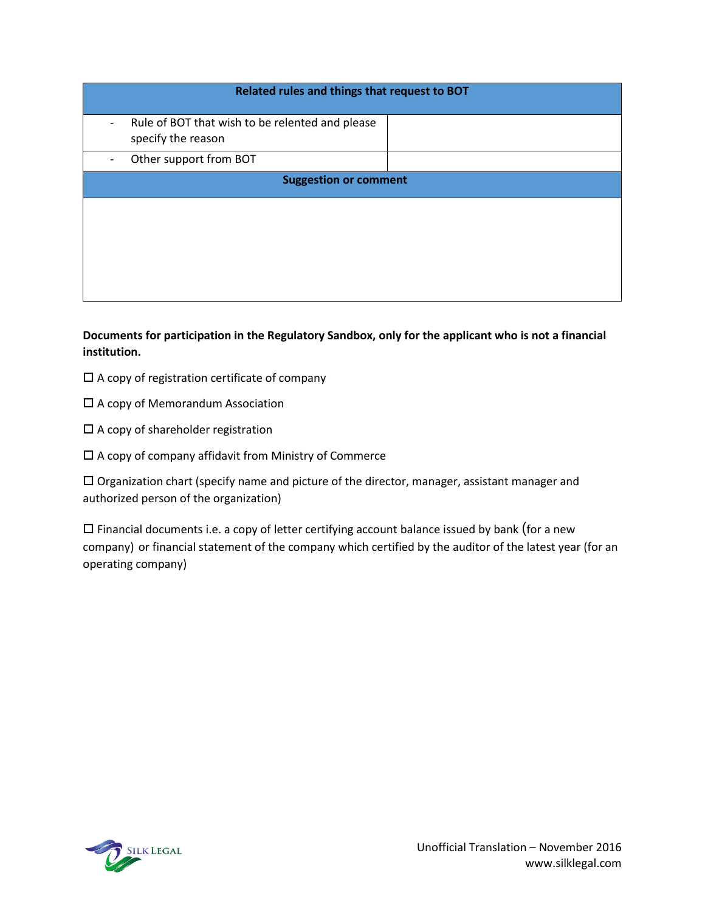| Related rules and things that request to BOT                                                          |  |  |
|-------------------------------------------------------------------------------------------------------|--|--|
| Rule of BOT that wish to be relented and please<br>$\qquad \qquad \blacksquare$<br>specify the reason |  |  |
| Other support from BOT                                                                                |  |  |
| <b>Suggestion or comment</b>                                                                          |  |  |
|                                                                                                       |  |  |
|                                                                                                       |  |  |

**Documents for participation in the Regulatory Sandbox, only for the applicant who is not a financial institution.**

- $\square$  A copy of registration certificate of company
- $\square$  A copy of Memorandum Association
- $\square$  A copy of shareholder registration
- $\square$  A copy of company affidavit from Ministry of Commerce

 $\Box$  Organization chart (specify name and picture of the director, manager, assistant manager and authorized person of the organization)

 $\square$  Financial documents i.e. a copy of letter certifying account balance issued by bank (for a new company) or financial statement of the company which certified by the auditor of the latest year (for an operating company)

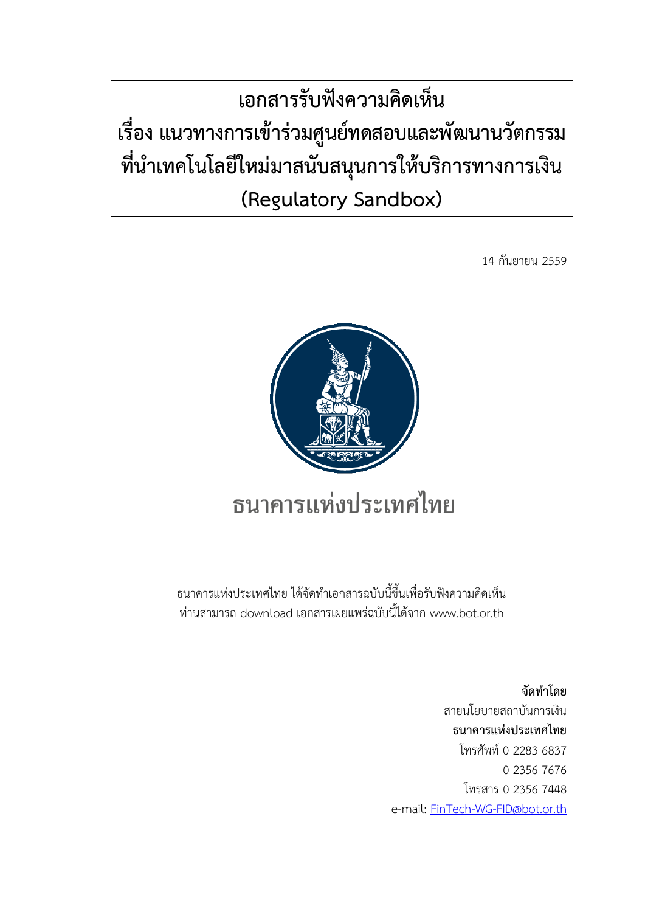**เอกสารรับฟังความคิดเห็น เรื่อง แนวทางการเข้าร่วมศูนย์ทดสอบและพัฒนานวัตกรรม ที่น าเทคโนโลยีใหม่มาสนับสนุนการให้บริการทางการเงิน (Regulatory Sandbox)**

14 กันยายน 2559



ธนาคารแห่งประเทศไทย ได้จัดท าเอกสารฉบับนี้ขึ้นเพื่อรับฟังความคิดเห็น ท่านสามารถ download เอกสารเผยแพร่ฉบับนี้ได้จาก www.bot.or.th

> **จัดท าโดย** สายนโยบายสถาบันการเงิน **ธนาคารแห่งประเทศไทย** โทรศัพท์ 0 2283 6837 0 2356 7676 โทรสาร 0 2356 7448 e-mail: [FinTech-WG-FID@bot.or.th](mailto:FinTech-WG-FID@bot.or.th)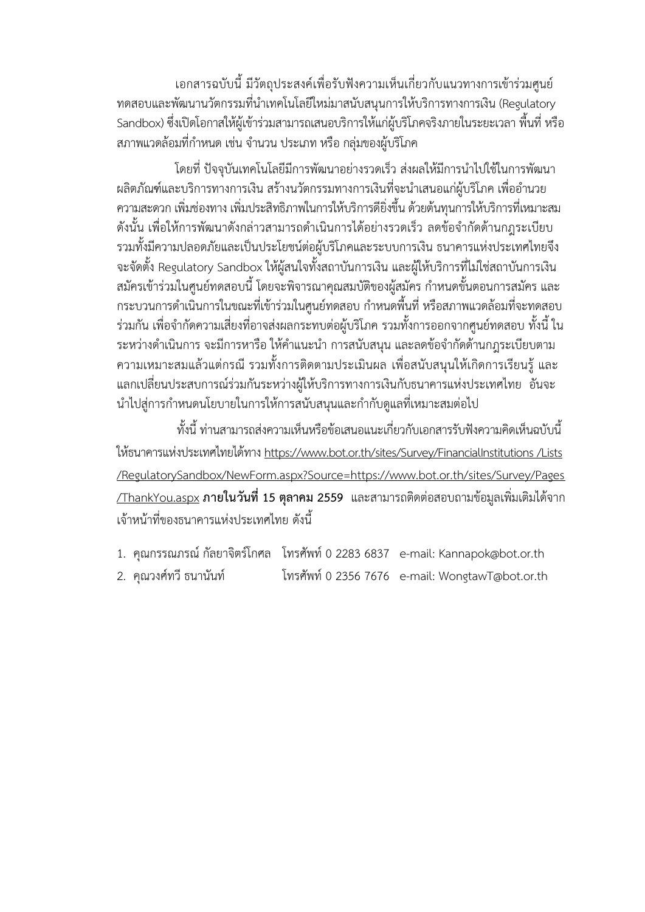เอกสารฉบับนี้ มีวัตถุประสงค์เพื่อรับฟังความเห็นเกี่ยวกับแนวทางการเข้าร่วมศูนย์ ทดสอบและพัฒนานวัตกรรมที่นำเทคโนโลยีใหม่มาสนับสนุนการให้บริการทางการเงิน (Regulatory Sandbox) ซึ่งเปิดโอกาสให้ผู้เข้าร่วมสามารถเสนอบริการให้แก่ผู้บริโภคจริงภายในระยะเวลา พื้นที่ หรือ ิสภาพแวดล้อมที่กำหนด เช่น จำนวน ประเภท หรือ กลุ่มของผู้บริโภค

โดยที่ ปัจจุบันเทคโนโลยีมีการพัฒนาอย่างรวดเร็ว ส่งผลให้มีการนำไปใช้ในการพัฒนา ้ผลิตภัณฑ์และบริการทางการเงิน สร้างนวัตกรรมทางการเงินที่จะนำเสนอแก่ผู้บริโภค เพื่ออำนวย ความสะดวก เพิ่มช่องทาง เพิ่มประสิทธิภาพในการให้บริการดียิ่งขึ้น ด้วยต้นทุนการให้บริการที่เหมาะสม ดังนั้น เพื่อให้การพัฒนาดังกล่าวสามารถดำเนินการได้อย่างรวดเร็ว ลดข้อจำกัดด้านกฎระเบียบ รวมทั้งมีความปลอดภัยและเป็นประโยชน์ต่อผู้บริโภคและระบบการเงิน ธนาคารแห่งประเทศไทยจึง จะจัดตั้ง Regulatory Sandbox ให้ผู้สนใจทั้งสถาบันการเงิน และผู้ให้บริการที่ไม่ใช่สถาบันการเงิน ี สมัครเข้าร่วมในศูนย์ทดสอบนี้ โดยจะพิจารณาคุณสมบัติของผู้สมัคร กำหนดขั้นตอนการสมัคร และ กระบวนการดำเนินการในขณะที่เข้าร่วมในศนย์ทดสอบ กำหนดพื้นที่ หรือสภาพแวดล้อมที่จะทดสอบ ้ร่วมกัน เพื่อจำกัดความเสี่ยงที่อาจส่งผลกระทบต่อผ้บริโภค รวมทั้งการออกจากศนย์ทดสอบ ทั้งนี้ ใน ระหว่างดำเนินการ จะมีการหารือ ให้คำแนะนำ การสนับสนุน และลดข้อจำกัดด้านกฎระเบียบตาม ความเหมาะสมแล้วแต่กรณี รวมทั้งการติดตามประเมินผล เพื่อสนับสนุนให้เกิดการเรียนรู้และ แลกเปลี่ยนประสบการณ์ร่วมกันระหว่างผู้ให้บริการทางการเงินกับธนาคารแห่งประเทศไทย อันจะ ้ นำไปสู่การกำหนดนโยบายในการให้การสนับสนุนและกำกับดูแลที่เหมาะสมต่อไป

ทั้งนี้ ท่านสามารถส่งความเห็นหรือข้อเสนอแนะเกี่ยวกับเอกสารรับฟังความคิดเห็นฉบับนี้ ให้ธนาคารแห่งประเทศไทยได้ทาง https://www.bot.or.th/sites/Survev/FinancialInstitutions /Lists [/RegulatorySandbox/NewForm.aspx?Source=https://www.bot.or.th/sites/Survey/Pages](https://www.bot.or.th/sites/Survey/FinancialInstitutions/Lists/RegulatorySandbox/NewForm.aspx?Source=https://www.bot.or.th/sites/Survey/Pages/ThankYou.aspx) [/ThankYou.aspx](https://www.bot.or.th/sites/Survey/FinancialInstitutions/Lists/RegulatorySandbox/NewForm.aspx?Source=https://www.bot.or.th/sites/Survey/Pages/ThankYou.aspx) **ภายในวันที่15 ตุลาคม 2559** และสามารถติดต่อสอบถามข้อมูลเพิ่มเติมได้จาก เจ้าหน้าที่ของธนาคารแห่งประเทศไทย ดังนี้

- 1. คุณกรรณภรณ์ กัลยาจิตร์โกศล โทรศัพท์ 0 2283 6837 e-mail: Kannapok@bot.or.th
- 2. คุณวงศ์ทวี ธนานันท์ โทรศัพท์ 0 2356 7676 e-mail: WongtawT@bot.or.th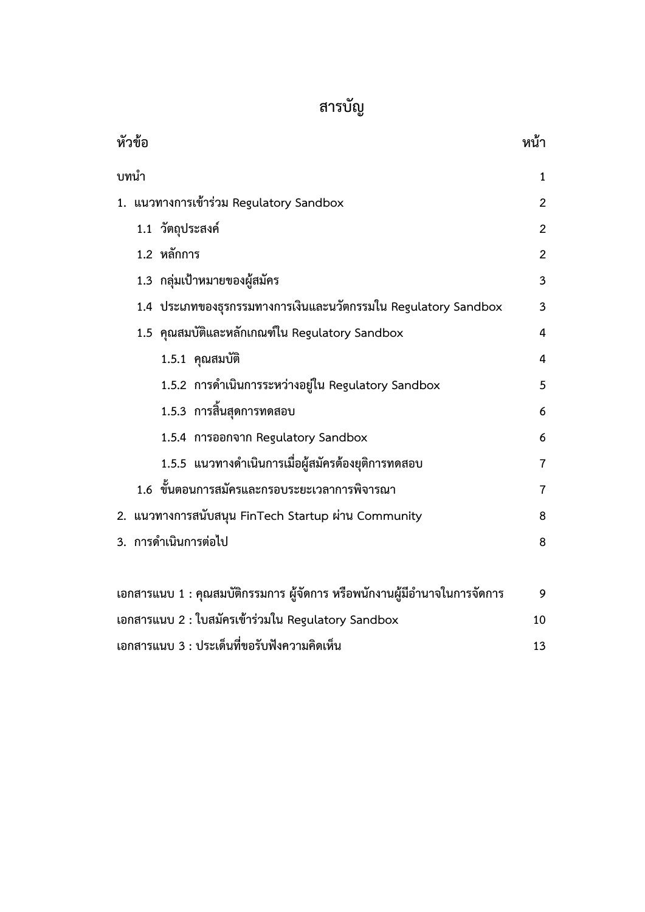# **สารบัญ**

| หัวข้อ                                                                    | หน้า                    |
|---------------------------------------------------------------------------|-------------------------|
| บทนำ                                                                      | $\mathbf{1}$            |
| 1. แนวทางการเข้าร่วม Regulatory Sandbox                                   | $\overline{2}$          |
| 1.1 วัตถุประสงค์                                                          | $\overline{2}$          |
| 1.2 หลักการ                                                               | $\overline{2}$          |
| 1.3 กลุ่มเป้าหมายของผู้สมัคร                                              | $\overline{\mathbf{3}}$ |
| 1.4 ประเภทของธุรกรรมทางการเงินและนวัตกรรมใน Regulatory Sandbox            | $\overline{3}$          |
| 1.5 คุณสมบัติและหลักเกณฑ์ใน Regulatory Sandbox                            | $\overline{4}$          |
| 1.5.1 คุณสมบัติ                                                           | $\overline{4}$          |
| 1.5.2 การดำเนินการระหว่างอยู่ใน Regulatory Sandbox                        | 5                       |
| 1.5.3 การสิ้นสุดการทดสอบ                                                  | 6                       |
| 1.5.4 การออกจาก Regulatory Sandbox                                        | 6                       |
| 1.5.5 แนวทางดำเนินการเมื่อผู้สมัครต้องยุติการทดสอบ                        | $\overline{7}$          |
| 1.6 ขั้นตอนการสมัครและกรอบระยะเวลาการพิจารณา                              | $\overline{7}$          |
| 2. แนวทางการสนับสนุน FinTech Startup ผ่าน Community<br>8                  |                         |
| 3. การดำเนินการต่อไป<br>8                                                 |                         |
|                                                                           |                         |
| เอกสารแนบ 1 : คุณสมบัติกรรมการ ผู้จัดการ หรือพนักงานผู้มีอำนาจในการจัดการ | 9                       |
| เอกสารแนบ 2 : ใบสมัครเข้าร่วมใน Regulatory Sandbox<br>10                  |                         |
| เอกสารแนบ 3 : ประเด็นที่ขอรับฟังความคิดเห็น                               | 13                      |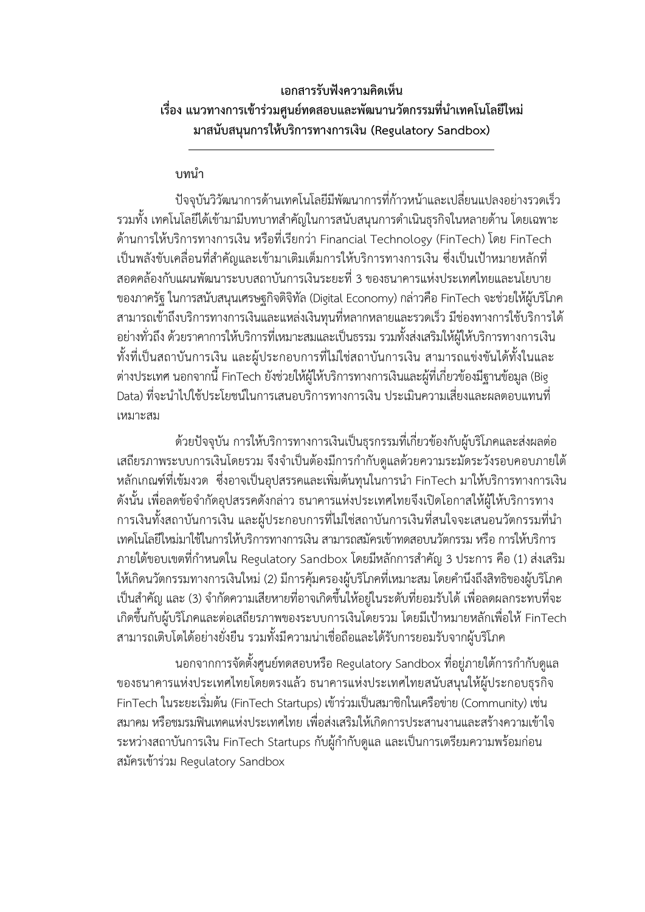## **เอกสารรับฟังความคิดเห็น** เรื่อง แนวทางการเข้าร่วมศูนย์ทดสอบและพัฒนานวัตกรรมที่นำเทคโนโลยีใหม่ **มาสนับสนุนการให้บริการทางการเงิน (Regulatory Sandbox)**

## **บทน า**

ปัจจุบันวิวัฒนาการด้านเทคโนโลยีมีพัฒนาการที่ก้าวหน้าและเปลี่ยนแปลงอย่างรวดเร็ว รวมทั้ง เทคโนโลยีได้เข้ามามีบทบาทสำคัญในการสนับสนุนการดำเนินธุรกิจในหลายด้าน โดยเฉพาะ ด้านการให้บริการทางการเงิน หรือที่เรียกว่า Financial Technology (FinTech) โดย FinTech เป็นพลังขับเคลื่อนที่ส าคัญและเข้ามาเติมเต็มการให้บริการทางการเงิน ซึ่งเป็นเป้าหมายหลักที่ สอดคล้องกับแผนพัฒนาระบบสถาบันการเงินระยะที่ 3 ของธนาคารแห่งประเทศไทยและนโยบาย ของภาครัฐ ในการสนับสนุนเศรษฐกิจดิจิทัล (Digital Economy) กล่าวคือ FinTech จะช่วยให้ผู้บริโภค สามารถเข้าถึงบริการทางการเงินและแหล่งเงินทุนที่หลากหลายและรวดเร็ว มีช่องทางการใช้บริการได้ อย่างทั่วถึง ด้วยราคาการให้บริการที่เหมาะสมและเป็นธรรม รวมทั้งส่งเสริมให้ผู้ให้บริการทางการเงิน ทั้งที่เป็นสถาบันการเงิน และผู้ประกอบการที่ไม่ใช่สถาบันการเงิน สามารถแข่งขันได้ทั้งในและ ต่างประเทศ นอกจากนี้ FinTech ยังช่วยให้ผู้ให้บริการทางการเงินและผู้ที่เกี่ยวข้องมีฐานข้อมูล (Big Data) ที่จะน าไปใช้ประโยชน์ในการเสนอบริการทางการเงิน ประเมินความเสี่ยงและผลตอบแทนที่ เหมาะสม

ด้วยปัจจุบัน การให้บริการทางการเงินเป็นธุรกรรมที่เกี่ยวข้องกับผู้บริโภคและส่งผลต่อ เสถียรภาพระบบการเงินโดยรวม จึงจำเป็นต้องมีการกำกับดูแลด้วยความระมัดระวังรอบคอบภายใต้ ่ หลักเกณฑ์ที่เข้มงวด ซึ่งอาจเป็นอุปสรรคและเพิ่มต้นทุนในการนำ FinTech มาให้บริการทางการเงิน ้ดังนั้น เพื่อลดข้อจำกัดอุปสรรคดังกล่าว ธนาคารแห่งประเทศไทยจึงเปิดโอกาสให้ผู้ให้บริการทาง การเงินทั้งสถาบันการเงิน และผู้ประกอบการที่ไม่ใช่สถาบันการเงินที่สนใจจะเสนอนวัตกรรมที่นำ เทคโนโลยีใหม่มาใช้ในการให้บริการทางการเงิน สามารถสมัครเข้าทดสอบนวัตกรรม หรือ การให้บริการ ภายใต้ขอบเขตที่กำหนดใน Regulatory Sandbox โดยมีหลักการสำคัญ 3 ประการ คือ (1) ส่งเสริม ให้เกิดนวัตกรรมทางการเงินใหม่ (2) มีการคุ้มครองผู้บริโภคที่เหมาะสม โดยคำนึงถึงสิทธิของผู้บริโภค เป็นสำคัญ และ (3) จำกัดความเสียหายที่อาจเกิดขึ้นให้อยู่ในระดับที่ยอมรับได้ เพื่อลดผลกระทบที่จะ เกิดขึ้นกับผู้บริโภคและต่อเสถียรภาพของระบบการเงินโดยรวม โดยมีเป้าหมายหลักเพื่อให้ FinTech สามารถเติบโตได้อย่างยั่งยืน รวมทั้งมีความน่าเชื่อถือและได้รับการยอมรับจากผู้บริโภค

นอกจากการจัดตั้งศูนย์ทดสอบหรือ Regulatory Sandbox ที่อยู่ภายใต้การกำกับดูแล ของธนาคารแห่งประเทศไทยโดยตรงแล้ว ธนาคารแห่งประเทศไทยสนับสนุนให้ผู้ประกอบธุรกิจ FinTech ในระยะเริ่มต้น (FinTech Startups) เข้าร่วมเป็นสมาชิกในเครือข่าย (Community) เช่น สมาคม หรือชมรมฟินเทคแห่งประเทศไทย เพื่อส่งเสริมให้เกิดการประสานงานและสร้างความเข้าใจ ระหว่างสถาบันการเงิน FinTech Startups กับผู้กำกับดูแล และเป็นการเตรียมความพร้อมก่อน สมัครเข้าร่วม Regulatory Sandbox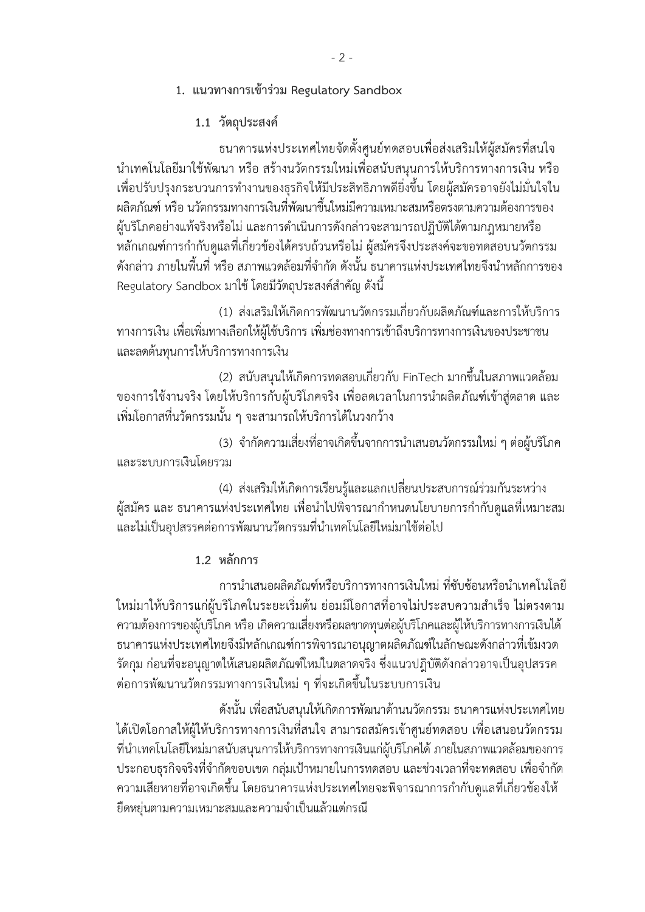- **1. แนวทางการเข้าร่วม Regulatory Sandbox**
	- **1.1 วัตถุประสงค์**

ธนาคารแห่งประเทศไทยจัดตั้งศูนย์ทดสอบเพื่อส่งเสริมให้ผู้สมัครที่สนใจ น าเทคโนโลยีมาใช้พัฒนา หรือ สร้างนวัตกรรมใหม่เพื่อสนับสนุนการให้บริการทางการเงิน หรือ เพื่อปรับปรุงกระบวนการทำงานของธุรกิจให้มีประสิทธิภาพดียิ่งขึ้น โดยผู้สมัครอาจยังไม่มั่นใจใน ผลิตภัณฑ์หรือ นวัตกรรมทางการเงินที่พัฒนาขึ้นใหม่มีความเหมาะสมหรือตรงตามความต้องการของ ผู้บริโภคอย่างแท้จริงหรือไม่ และการดำเนินการดังกล่าวจะสามารถปฏิบัติได้ตามกฎหมายหรือ หลักเกณฑ์การกำกับดูแลที่เกี่ยวข้องได้ครบถ้วนหรือไม่ ผู้สมัครจึงประสงค์จะขอทดสอบนวัตกรรม ้ ดังกล่าว ภายในพื้นที่ หรือ สภาพแวดล้อมที่จำกัด ดังนั้น ธนาคารแห่งประเทศไทยจึงนำหลักการของ Regulatory Sandbox มาใช้ โดยมีวัตถประสงค์สำคัญ ดังนี้

(1) ส่งเสริมให้เกิดการพัฒนานวัตกรรมเกี่ยวกับผลิตภัณฑ์และการให้บริการ ทางการเงิน เพื่อเพิ่มทางเลือกให้ผู้ใช้บริการ เพิ่มช่องทางการเข้าถึงบริการทางการเงินของประชาชน และลดต้นทุนการให้บริการทางการเงิน

(2) สนับสนุนให้เกิดการทดสอบเกี่ยวกับ FinTech มากขึ้นในสภาพแวดล้อม ่ ของการใช้งานจริง โดยให้บริการกับผู้บริโภคจริง เพื่อลดเวลาในการนำผลิตภัณฑ์เข้าสู่ตลาด และ เพิ่มโอกาสที่นวัตกรรมนั้น ๆ จะสามารถให้บริการได้ในวงกว้าง

(3) จ ากัดความเสี่ยงที่อาจเกิดขึ้นจากการน าเสนอนวัตกรรมใหม่ ๆ ต่อผู้บริโภค และระบบการเงินโดยรวม

(4) ส่งเสริมให้เกิดการเรียนรู้และแลกเปลี่ยนประสบการณ์ร่วมกันระหว่าง ผู้สมัคร และ ธนาคารแห่งประเทศไทย เพื่อนำไปพิจารณากำหนดนโยบายการกำกับดูแลที่เหมาะสม และไม่เป็นอุปสรรคต่อการพัฒนานวัตกรรมที่นำเทคโนโลยีใหม่มาใช้ต่อไป

**1.2 หลักการ**

การนำเสนอผลิตภัณฑ์หรือบริการทางการเงินใหม่ ที่ซับซ้อนหรือนำเทคโนโลยี ใหม่มาให้บริการแก่ผู้บริโภคในระยะเริ่มต้น ย่อมมีโอกาสที่อาจไม่ประสบความสำเร็จ ไม่ตรงตาม ความต้องการของผู้บริโภค หรือ เกิดความเสี่ยงหรือผลขาดทุนต่อผู้บริโภคและผู้ให้บริการทางการเงินได้ ธนาคารแห่งประเทศไทยจึงมีหลักเกณฑ์การพิจารณาอนุญาตผลิตภัณฑ์ในลักษณะดังกล่าวที่เข้มงวด รัดกุม ก่อนที่จะอนุญาตให้เสนอผลิตภัณฑ์ใหม่ในตลาดจริง ซึ่งแนวปฎิบัติดังกล่าวอาจเป็นอุปสรรค ต่อการพัฒนานวัตกรรมทางการเงินใหม่ ๆ ที่จะเกิดขึ้นในระบบการเงิน

ดังนั้น เพื่อสนับสนุนให้เกิดการพัฒนาด้านนวัตกรรม ธนาคารแห่งประเทศไทย ได้เปิดโอกาสให้ผู้ให้บริการทางการเงินที่สนใจ สามารถสมัครเข้าศูนย์ทดสอบ เพื่อเสนอนวัตกรรม ที่นำเทคโนโลยีใหม่มาสนับสนุนการให้บริการทางการเงินแก่ผู้บริโภคได้ ภายในสภาพแวดล้อมของการ ่ ประกอบธุรกิจจริงที่จำกัดขอบเขต กลุ่มเป้าหมายในการทดสอบ และช่วงเวลาที่จะทดสอบ เพื่อจำกัด ้ ความเสียหายที่อาจเกิดขึ้น โดยธนาคารแห่งประเทศไทยจะพิจารณาการกำกับดูแลที่เกี่ยวข้องให้ ยืดหยุ่นตามความเหมาะสมและความจำเป็นแล้วแต่กรณี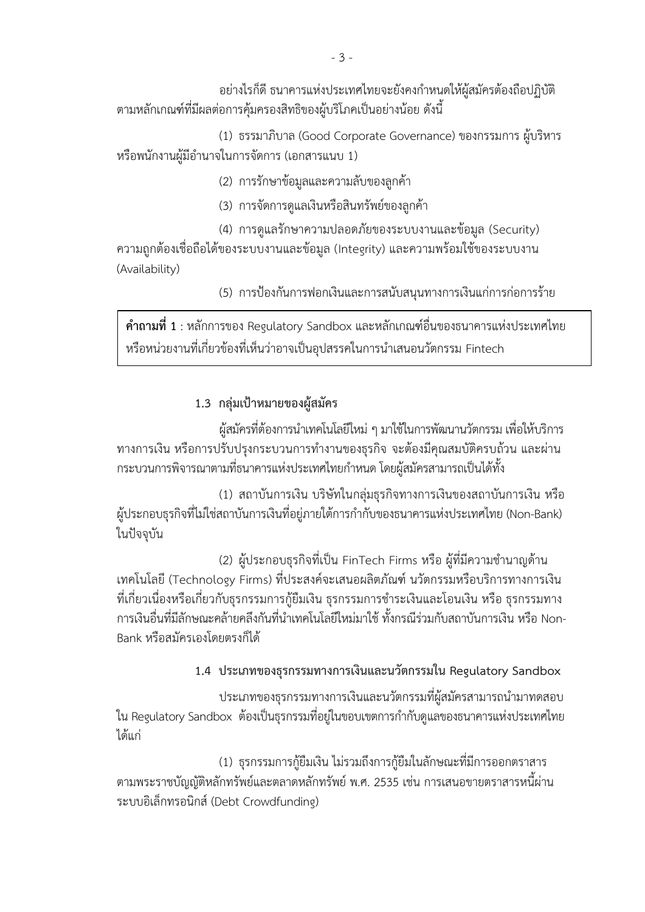้อย่างไรก็ดี ธนาคารแห่งประเทศไทยจะยังคงกำหนดให้ผ้สมัครต้องถือปฏิบัติ ตามหลักเกณฑ์ที่มีผลต่อการคุ้มครองสิทธิของผู้บริโภคเป็นอย่างน้อย ดังนี้

(1) ธรรมาภิบาล (Good Corporate Governance) ของกรรมการ ผู้บริหาร หรือพนักงานผู้มีอำนาจในการจัดการ (เอกสารแนบ 1)

(2) การรักษาข้อมูลและความลับของลูกค้า

(3) การจัดการดูแลเงินหรือสินทรัพย์ของลูกค้า

(4) การดูแลรักษาความปลอดภัยของระบบงานและข้อมูล (Security) ความถูกต้องเชื่อถือได้ของระบบงานและข้อมูล (Integrity) และความพร้อมใช้ของระบบงาน (Availability)

(5) การป้องกันการฟอกเงินและการสนับสนุนทางการเงินแก่การก่อการร้าย

**ค าถามที่ 1** : หลักการของ Regulatory Sandbox และหลักเกณฑ์อื่นของธนาคารแห่งประเทศไทย หรือหน่วยงานที่เกี่ยวข้องที่เห็นว่าอาจเป็นอุปสรรคในการนำเสนอนวัตกรรม Fintech

## **1.3 กลุ่มเป้าหมายของผู้สมัคร**

ผู้สมัครที่ต้องการนำเทคโนโลยีใหม่ ๆ มาใช้ในการพัฒนานวัตกรรม เพื่อให้บริการ ทางการเงิน หรือการปรับปรุงกระบวนการทำงานของธุรกิจ จะต้องมีคุณสมบัติครบถ้วน และผ่าน ึกระบวนการพิจารณาตามที่ธนาคารแห่งประเทศไทยกำหนด โดยผู้สมัครสามารถเป็นได้ทั้ง

(1) สถาบันการเงิน บริษัทในกลุ่มธุรกิจทางการเงินของสถาบันการเงิน หรือ -ผู้ประกอบธุรกิจที่ไม่ใช่สถาบันการเงินที่อยู่ภายใต้การกำกับของธนาคารแห่งประเทศไทย (Non-Bank) ในปัจจุบัน

(2) ผู้ประกอบธุรกิจที่เป็น FinTech Firms หรือ ผู้ที่มีความชำนาญด้าน เทคโนโลยี (Technology Firms) ที่ประสงค์จะเสนอผลิตภัณฑ์ นวัตกรรมหรือบริการทางการเงิน ี่ ที่เกี่ยวเนื่องหรือเกี่ยวกับธุรกรรมการกู้ยืมเงิน ธุรกรรมการชำระเงินและโอนเงิน หรือ ธุรกรรมทาง การเงินอื่นที่มีลักษณะคล้ายคลึงกันที่นำเทคโนโลยีใหม่มาใช้ ทั้งกรณีร่วมกับสถาบันการเงิน หรือ Non-Bank หรือสมัครเองโดยตรงก็ได้

**1.4 ประเภทของธุรกรรมทางการเงินและนวัตกรรมใน Regulatory Sandbox**

ประเภทของธุรกรรมทางการเงินและนวัตกรรมที่ผู้สมัครสามารถนำมาทดสอบ ใน Regulatory Sandbox ต้องเป็นธุรกรรมที่อยู่ในขอบเขตการกำกับดูแลของธนาคารแห่งประเทศไทย ได้แก่

(1) ธุรกรรมการกู้ยืมเงิน ไม่รวมถึงการกู้ยืมในลักษณะที่มีการออกตราสาร ตามพระราชบัญญัติหลักทรัพย์และตลาดหลักทรัพย์ พ.ศ. 2535 เช่น การเสนอขายตราสารหนี้ผ่าน ระบบอิเล็กทรอนิกส์(Debt Crowdfunding)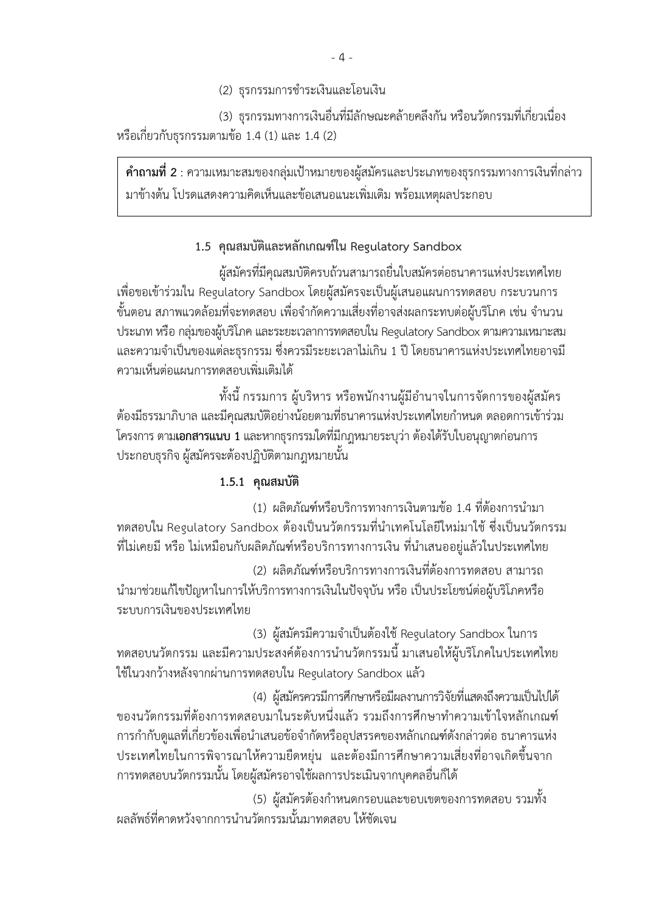(2) ธรกรรมการชำระเงินและโอนเงิน

(3) ธุรกรรมทางการเงินอื่นที่มีลักษณะคล้ายคลึงกัน หรือนวัตกรรมที่เกี่ยวเนื่อง หรือเกี่ยวกับธุรกรรมตามข้อ 1.4 (1) และ 1.4 (2)

**ค าถามที่ 2** : ความเหมาะสมของกลุ่มเป้าหมายของผู้สมัครและประเภทของธุรกรรมทางการเงินที่กล่าว มาข้างต้น โปรดแสดงความคิดเห็นและข้อเสนอแนะเพิ่มเติม พร้อมเหตุผลประกอบ

## **1.5 คุณสมบัติและหลักเกณฑ์ใน Regulatory Sandbox**

ผู้สมัครที่มีคุณสมบัติครบถ้วนสามารถยื่นใบสมัครต่อธนาคารแห่งประเทศไทย เพื่อขอเข้าร่วมใน Regulatory Sandbox โดยผู้สมัครจะเป็นผู้เสนอแผนการทดสอบ กระบวนการ ่ ขั้นตอน สภาพแวดล้อมที่จะทดสอบ เพื่อจำกัดความเสี่ยงที่อาจส่งผลกระทบต่อผู้บริโภค เช่น จำนวน ประเภท หรือ กลุ่มของผู้บริโภค และระยะเวลาการทดสอบใน Regulatory Sandboxตามความเหมาะสม ี และความจำเป็นของแต่ละธุรกรรม ซึ่งควรมีระยะเวลาไม่เกิน 1 ปี โดยธนาคารแห่งประเทศไทยอาจมี ความเห็นต่อแผนการทดสอบเพิ่มเติมได้

้ ทั้งนี้ กรรมการ ผู้บริหาร หรือพนักงานผู้มีอำนาจในการจัดการของผู้สมัคร ต้องมีธรรมาภิบาล และมีคุณสมบัติอย่างน้อยตามที่ธนาคารแห่งประเทศไทยกำหนด ตลอดการเข้าร่วม โครงการ ตาม**เอกสารแนบ 1**และหากธุรกรรมใดที่มีกฎหมายระบุว่า ต้องได้รับใบอนุญาตก่อนการ ประกอบธุรกิจ ผู้สมัครจะต้องปฏิบัติตามกฎหมายนั้น

## **1.5.1 คุณสมบัติ**

(1) ผลิตภัณฑ์หรือบริการทางการเงินตามข้อ 1.4 ที่ต้องการนำมา ทดสอบใน Regulatory Sandbox ต้องเป็นนวัตกรรมที่นำเทคโนโลยีใหม่มาใช้ ซึ่งเป็นนวัตกรรม ี่ที่ไม่เคยมี หรือ ไม่เหมือนกับผลิตภัณฑ์หรือบริการทางการเงิน ที่นำเสนออยู่แล้วในประเทศไทย

(2) ผลิตภัณฑ์หรือบริการทางการเงินที่ต้องการทดสอบ สามารถ น ามาช่วยแก้ไขปัญหาในการให้บริการทางการเงินในปัจจุบัน หรือ เป็นประโยชน์ต่อผู้บริโภคหรือ ระบบการเงินของประเทศไทย

(3) ผู้สมัครมีความจำเป็นต้องใช้ Regulatory Sandbox ในการ ิทดสอบนวัตกรรม และมีความประสงค์ต้องการนำนวัตกรรมนี้ มาเสนอให้ผู้บริโภคในประเทศไทย ใช้ในวงกว้างหลังจากผ่านการทดสอบใน Regulatory Sandbox แล้ว

(4) ผู้สมัครควรมีการศึกษาหรือมีผลงานการวิจัยที่แสดงถึงความเป็นไปได้ ของนวัตกรรมที่ต้องการทดสอบมาในระดับหนึ่งแล้ว รวมถึงการศึกษาทำความเข้าใจหลักเกณฑ์ การกำกับดูแลที่เกี่ยวข้องเพื่อนำเสนอข้อจำกัดหรืออุปสรรคของหลักเกณฑ์ดังกล่าวต่อ ธนาคารแห่ง ประเทศไทยในการพิจารณาให้ความยืดหยุ่น และต้องมีการศึกษาความเสี่ยงที่อาจเกิดขึ้นจาก การทดสอบนวัตกรรมนั้น โดยผู้สมัครอาจใช้ผลการประเมินจากบุคคลอื่นก็ได้

(5) ผู้สมัครต้องกำหนดกรอบและขอบเขตของการทดสอบ รวมทั้ง ้ ผลลัพธ์ที่คาดหวังจากการนำนวัตกรรมนั้นมาทดสอบ ให้ชัดเจน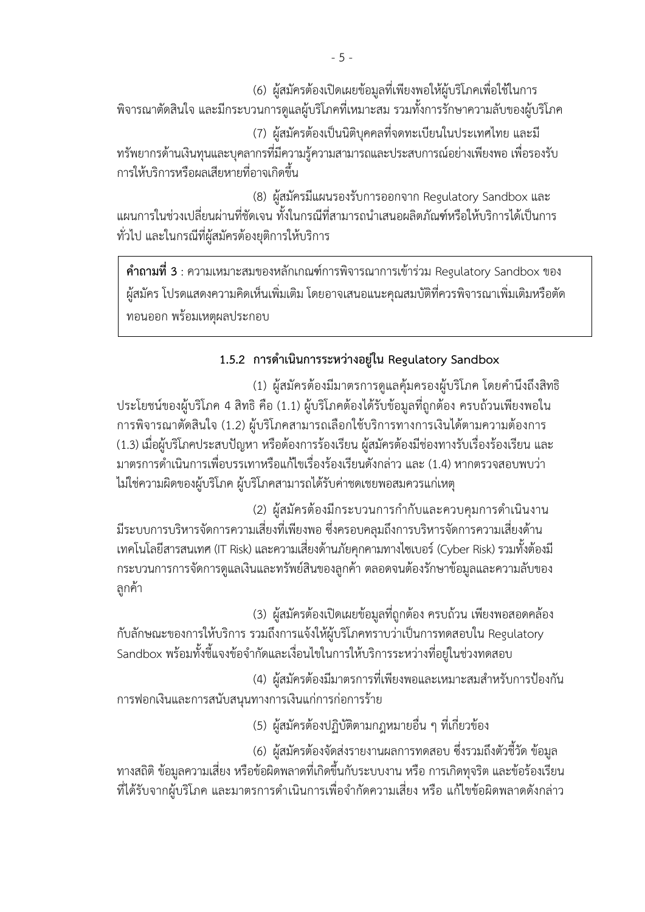(6) ผู้สมัครต้องเปิดเผยข้อมูลที่เพียงพอให้ผู้บริโภคเพื่อใช้ในการ พิจารณาตัดสินใจ และมีกระบวนการดูแลผู้บริโภคที่เหมาะสม รวมทั้งการรักษาความลับของผู้บริโภค

(7) ผู้สมัครต้องเป็นนิติบุคคลที่จดทะเบียนในประเทศไทย และมี ทรัพยากรด้านเงินทุนและบุคลากรที่มีความรู้ความสามารถและประสบการณ์อย่างเพียงพอเพื่อรองรับ การให้บริการหรือผลเสียหายที่อาจเกิดขึ้น

(8) ผู้สมัครมีแผนรองรับการออกจาก Regulatory Sandbox และ ้ แผนการในช่วงเปลี่ยนผ่านที่ชัดเจน ทั้งในกรณีที่สามารถนำเสนอผลิตภัณฑ์หรือให้บริการได้เป็นการ ทั่วไป และในกรณีที่ผู้สมัครต้องยุติการให้บริการ

**ค าถามที่ 3** : ความเหมาะสมของหลักเกณฑ์การพิจารณาการเข้าร่วม Regulatory Sandbox ของ ผู้สมัคร โปรดแสดงความคิดเห็นเพิ่มเติม โดยอาจเสนอแนะคุณสมบัติที่ควรพิจารณาเพิ่มเติมหรือตัด ทอนออก พร้อมเหตุผลประกอบ

## **1.5.2 การด าเนินการระหว่างอยู่ใน Regulatory Sandbox**

(1) ผู้สมัครต้องมีมาตรการดูแลคุ้มครองผู้บริโภค โดยคำนึงถึงสิทธิ ประโยชน์ของผู้บริโภค 4 สิทธิ คือ (1.1) ผู้บริโภคต้องได้รับข้อมูลที่ถูกต้อง ครบถ้วนเพียงพอใน การพิจารณาตัดสินใจ (1.2) ผู้บริโภคสามารถเลือกใช้บริการทางการเงินได้ตามความต้องการ (1.3) เมื่อผู้บริโภคประสบปัญหา หรือต้องการร้องเรียน ผู้สมัครต้องมีช่องทางรับเรื่องร้องเรียน และ ้มาตรการดำเนินการเพื่อบรรเทาหรือแก้ไขเรื่องร้องเรียนดังกล่าว และ (1.4) หากตรวจสอบพบว่า ไม่ใช่ความผิดของผู้บริโภค ผู้บริโภคสามารถได้รับค่าชดเชยพอสมควรแก่เหตุ

(2) ผู้สมัครต้องมีกระบวนการกำกับและควบคุมการดำเนินงาน ้ มีระบบการบริหารจัดการความเสี่ยงที่เพียงพอ ซึ่งครอบคลมถึงการบริหารจัดการความเสี่ยงด้าน เทคโนโลยีสารสนเทศ(IT Risk) และความเสี่ยงด้านภัยคุกคามทางไซเบอร์(Cyber Risk) รวมทั้งต้องมี กระบวนการการจัดการดูแลเงินและทรัพย์สินของลูกค้า ตลอดจนต้องรักษาข้อมูลและความลับของ ลูกค้า

(3) ผู้สมัครต้องเปิดเผยข้อมูลที่ถูกต้อง ครบถ้วน เพียงพอสอดคล้อง กับลักษณะของการให้บริการ รวมถึงการแจ้งให้ผู้บริโภคทราบว่าเป็นการทดสอบใน Regulatory Sandbox พร้อมทั้งชี้แจงข้อจำกัดและเงื่อนไขในการให้บริการระหว่างที่อยู่ในช่วงทดสอบ

(4) ผู้สมัครต้องมีมาตรการที่เพียงพอและเหมาะสมสำหรับการป้องกัน การฟอกเงินและการสนับสนุนทางการเงินแก่การก่อการร้าย

(5) ผู้สมัครต้องปฏิบัติตามกฎหมายอื่น ๆ ที่เกี่ยวข้อง

(6) ผู้สมัครต้องจัดส่งรายงานผลการทดสอบ ซึ่งรวมถึงตัวชี้วัด ข้อมูล ทางสถิติข้อมูลความเสี่ยง หรือข้อผิดพลาดที่เกิดขึ้นกับระบบงาน หรือ การเกิดทุจริต และข้อร้องเรียน ี่ที่ได้รับจากผู้บริโภค และมาตรการดำเนินการเพื่อจำกัดความเสี่ยง หรือ แก้ไขข้อผิดพลาดดังกล่าว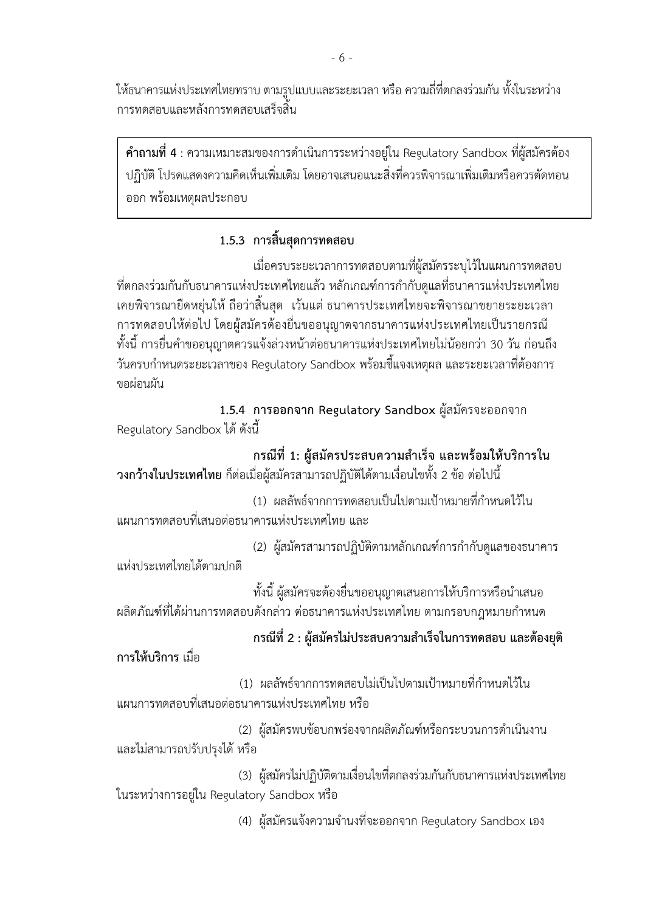ให้ธนาคารแห่งประเทศไทยทราบ ตามรูปแบบและระยะเวลา หรือความถี่ที่ตกลงร่วมกัน ทั้งในระหว่าง การทดสอบและหลังการทดสอบเสร็จสิ้น

**ค าถามที่ 4** : ความเหมาะสมของการด าเนินการระหว่างอยู่ใน Regulatory Sandbox ที่ผู้สมัครต้อง ปฏิบัติ โปรดแสดงความคิดเห็นเพิ่มเติม โดยอาจเสนอแนะสิ่งที่ควรพิจารณาเพิ่มเติมหรือควรตัดทอน ออก พร้อมเหตุผลประกอบ

## **1.5.3 การสิ้นสุดการทดสอบ**

เมื่อครบระยะเวลาการทดสอบตามที่ผู้สมัครระบุไว้ในแผนการทดสอบ ที่ตกลงร่วมกันกับธนาคารแห่งประเทศไทยแล้ว หลักเกณฑ์การกำกับดูแลที่ธนาคารแห่งประเทศไทย เคยพิจารณายืดหยุ่นให้ถือว่าสิ้นสุด เว้นแต่ ธนาคารประเทศไทยจะพิจารณาขยายระยะเวลา การทดสอบให้ต่อไป โดยผู้สมัครต้องยื่นขออนุญาตจากธนาคารแห่งประเทศไทยเป็นรายกรณี ้ ทั้งนี้ การยื่นคำขออนุญาตควรแจ้งล่วงหน้าต่อธนาคารแห่งประเทศไทยไม่น้อยกว่า 30 วัน ก่อนถึง ้วันครบกำหนดระยะเวลาของ Regulatory Sandbox พร้อมชี้แจงเหตุผล และระยะเวลาที่ต้องการ ขอผ่อนผัน

**1.5.4 การออกจาก Regulatory Sandbox** ผู้สมัครจะออกจาก Regulatory Sandbox ได้ ดังนี้

## **กรณีที่ 1: ผู้สมัครประสบความส าเร็จ และพร้อมให้บริการใน**

**วงกว้างในประเทศไทย** ก็ต่อเมื่อผู้สมัครสามารถปฏิบัติได้ตามเงื่อนไขทั้ง 2 ข้อ ต่อไปนี้

ี (1) ผลลัพธ์จากการทดสอบเป็นไปตามเป้าหมายที่กำหนดไว้ใน แผนการทดสอบที่เสนอต่อธนาคารแห่งประเทศไทย และ

(2) ผู้สมัครสามารถปฏิบัติตามหลักเกณฑ์การกำกับดูแลของธนาคาร แห่งประเทศไทยได้ตามปกติ

้ ทั้งนี้ ผู้สมัครจะต้องยื่นขออนุญาตเสนอการให้บริการหรือนำเสนอ ผลิตภัณฑ์ที่ได้ผ่านการทดสอบดังกล่าว ต่อธนาคารแห่งประเทศไทย ตามกรอบกฎหมายกำหนด

## **กรณีที่ 2 : ผู้สมัครไม่ประสบความส าเร็จในการทดสอบ และต้องยุติ**

**การให้บริการ** เมื่อ

(1) ผลลัพธ์จากการทดสอบไม่เป็นไปตามเป้าหมายที่กำหนดไว้ใน แผนการทดสอบที่เสนอต่อธนาคารแห่งประเทศไทย หรือ

(2) ผู้สมัครพบข้อบกพร่องจากผลิตภัณฑ์หรือกระบวนการดำเนินงาน และไม่สามารถปรับปรุงได้ หรือ

(3) ผู้สมัครไม่ปฏิบัติตามเงื่อนไขที่ตกลงร่วมกันกับธนาคารแห่งประเทศไทย ในระหว่างการอยู่ใน Regulatory Sandbox หรือ

(4) ผู้สมัครแจ้งความจำนงที่จะออกจาก Regulatory Sandbox เอง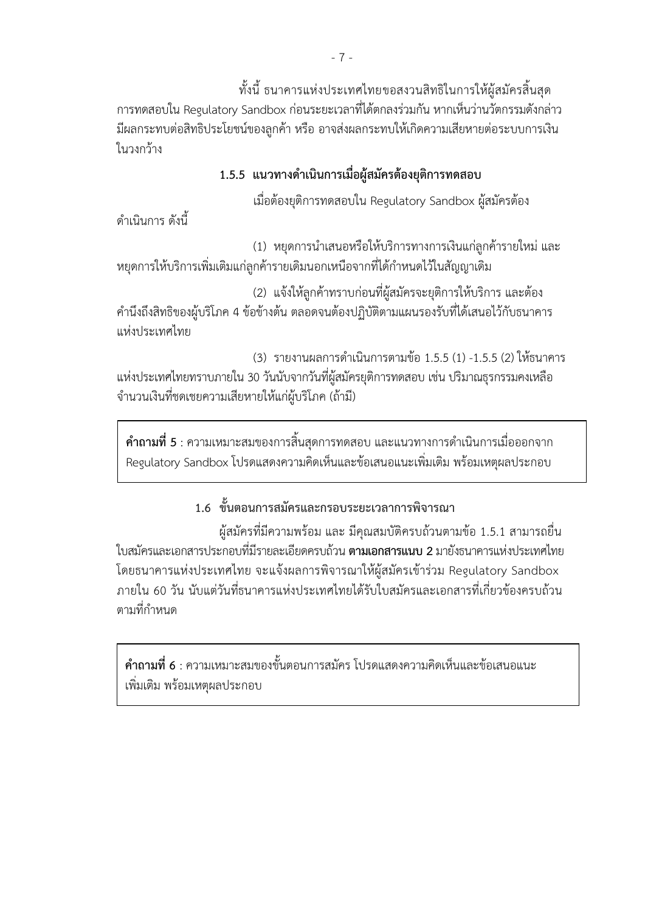ทั้งนี้ ธนาคารแห่งประเทศไทยขอสงวนสิทธิในการให้ผู้สมัครสิ้นสุด การทดสอบใน Regulatory Sandbox ก่อนระยะเวลาที่ได้ตกลงร่วมกัน หากเห็นว่านวัตกรรมดังกล่าว มีผลกระทบต่อสิทธิประโยชน์ของลูกค้า หรือ อาจส่งผลกระทบให้เกิดความเสียหายต่อระบบการเงิน ในวงกว้าง

## **1.5.5 แนวทางด าเนินการเมื่อผู้สมัครต้องยุติการทดสอบ**

เมื่อต้องยุติการทดสอบใน Regulatory Sandbox ผู้สมัครต้อง

ด าเนินการ ดังนี้

(1) หยุดการนำเสนอหรือให้บริการทางการเงินแก่ลูกค้ารายใหม่ และ ่ หยุดการให้บริการเพิ่มเติมแก่ลูกค้ารายเดิมนอกเหนือจากที่ได้กำหนดไว้ในสัญญาเดิม

(2) แจ้งให้ลูกค้าทราบก่อนที่ผู้สมัครจะยุติการให้บริการ และต้อง ค านึงถึงสิทธิของผู้บริโภค 4 ข้อข้างต้น ตลอดจนต้องปฏิบัติตามแผนรองรับที่ได้เสนอไว้กับธนาคาร แห่งประเทศไทย

(3) รายงานผลการดำเนินการตามข้อ 1.5.5 (1) -1.5.5 (2) ให้ธนาคาร แห่งประเทศไทยทราบภายใน 30 วันนับจากวันที่ผู้สมัครยุติการทดสอบ เช่น ปริมาณธุรกรรมคงเหลือ จ านวนเงินที่ชดเชยความเสียหายให้แก่ผู้บริโภค (ถ้ามี)

**คำถามที่ 5** : ความเหมาะสมของการสิ้นสุดการทดสอบ และแนวทางการดำเนินการเมื่อออกจาก Regulatory Sandbox โปรดแสดงความคิดเห็นและข้อเสนอแนะเพิ่มเติม พร้อมเหตุผลประกอบ

## **1.6 ขั้นตอนการสมัครและกรอบระยะเวลาการพิจารณา**

ผู้สมัครที่มีความพร้อม และ มีคุณสมบัติครบถ้วนตามข้อ 1.5.1 สามารถยื่น ใบสมัครและเอกสารประกอบที่มีรายละเอียดครบถ้วน **ตามเอกสารแนบ 2** มายังธนาคารแห่งประเทศไทย โดยธนาคารแห่งประเทศไทย จะแจ้งผลการพิจารณาให้ผู้สมัครเข้าร่วม Regulatory Sandbox ภายใน 60 วัน นับแต่วันที่ธนาคารแห่งประเทศไทยได้รับใบสมัครและเอกสารที่เกี่ยวข้องครบถ้วน ์ ตามที่กำหนด

**ค าถามที่ 6** : ความเหมาะสมของขั้นตอนการสมัคร โปรดแสดงความคิดเห็นและข้อเสนอแนะ เพิ่มเติม พร้อมเหตุผลประกอบ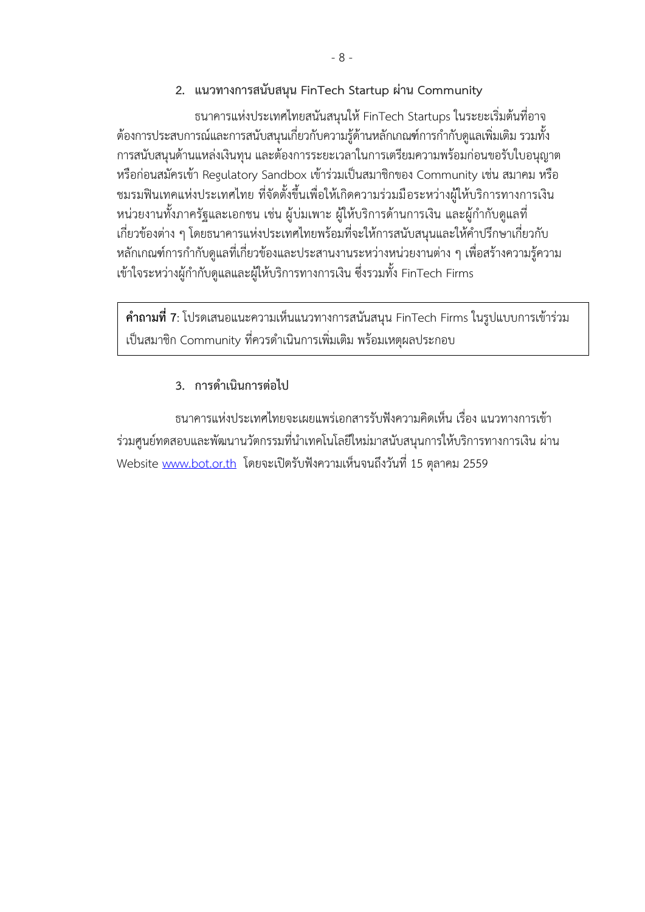**2. แนวทางการสนับสนุน FinTech Startup ผ่าน Community**

ธนาคารแห่งประเทศไทยสนันสนุนให้FinTech Startups ในระยะเริ่มต้นที่อาจ ้ต้องการประสบการณ์และการสนับสนุนเกี่ยวกับความรู้ด้านหลักเกณฑ์การกำกับดูแลเพิ่มเติม รวมทั้ง การสนับสนุนด้านแหล่งเงินทุน และต้องการระยะเวลาในการเตรียมความพร้อมก่อนขอรับใบอนุญาต หรือก่อนสมัครเข้า Regulatory Sandbox เข้าร่วมเป็นสมาชิกของ Community เช่น สมาคม หรือ ชมรมฟินเทคแห่งประเทศไทย ที่จัดตั้งขึ้นเพื่อให้เกิดความร่วมมือระหว่างผู้ให้บริการทางการเงิน ี หน่วยงานทั้งภาครัฐและเอกชน เช่น ผู้บ่มเพาะ ผู้ให้บริการด้านการเงิน และผู้กำกับดูแลที่ เกี่ยวข้องต่าง ๆ โดยธนาคารแห่งประเทศไทยพร้อมที่จะให้การสนับสนุนและให้คำปรึกษาเกี่ยวกับ ิหลักเกณฑ์การกำกับดูแลที่เกี่ยวข้องและประสานงานระหว่างหน่วยงานต่าง ๆ เพื่อสร้างความรู้ความ เข้าใจระหว่างผู้กำกับดูแลและผู้ให้บริการทางการเงิน ซึ่งรวมทั้ง FinTech Firms

**ค าถามที่7**: โปรดเสนอแนะความเห็นแนวทางการสนันสนุน FinTech Firms ในรูปแบบการเข้าร่วม เป็นสมาชิก Community ที่ควรดำเนินการเพิ่มเติม พร้อมเหตุผลประกอบ

## **3. การด าเนินการต่อไป**

ธนาคารแห่งประเทศไทยจะเผยแพร่เอกสารรับฟังความคิดเห็น เรื่อง แนวทางการเข้า ร่วมศูนย์ทดสอบและพัฒนานวัตกรรมที่นำเทคโนโลยีใหม่มาสนับสนุนการให้บริการทางการเงิน ผ่าน Website [www.bot.or.th](http://www.bot.or.th/) โดยจะเปิดรับฟังความเห็นจนถึงวันที่ 15 ตุลาคม 2559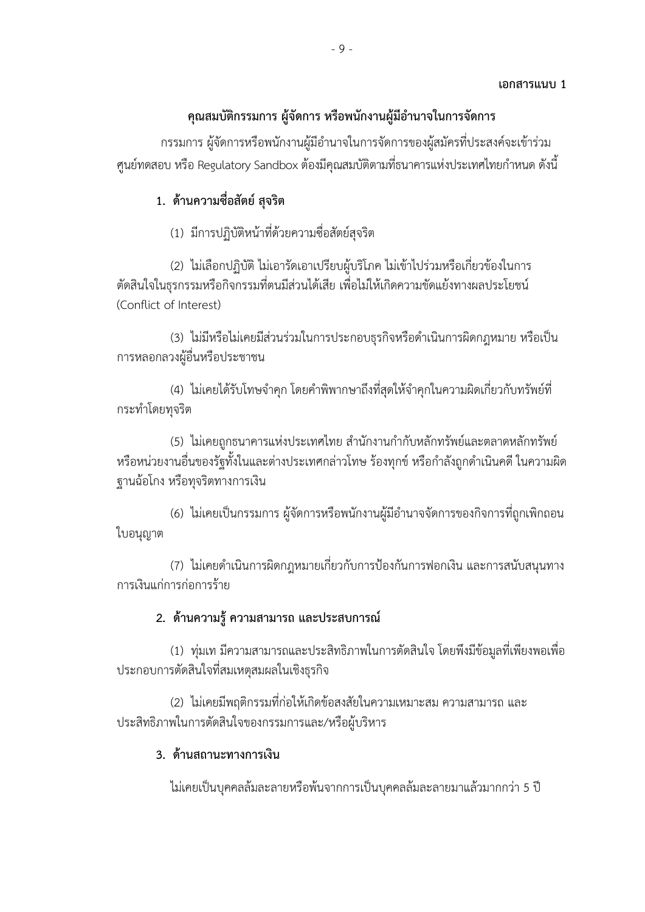## **เอกสารแนบ 1**

## **คุณสมบัติกรรมการ ผู้จัดการ หรือพนักงานผู้มีอ านาจในการจัดการ**

กรรมการ ผู้จัดการหรือพนักงานผู้มีอำนาจในการจัดการของผู้สมัครที่ประสงค์จะเข้าร่วม ้ศูนย์ทดสอบ หรือ Regulatory Sandbox ต้องมีคุณสมบัติตามที่ธนาคารแห่งประเทศไทยกำหนด ดังนี้

## **1. ด้านความซื่อสัตย์ สุจริต**

(1) มีการปฏิบัติหน้าที่ด้วยความซื่อสัตย์สุจริต

(2) ไม่เลือกปฏิบัติ ไม่เอารัดเอาเปรียบผู้บริโภค ไม่เข้าไปร่วมหรือเกี่ยวข้องในการ ตัดสินใจในธุรกรรมหรือกิจกรรมที่ตนมีส่วนได้เสีย เพื่อไม่ให้เกิดความขัดแย้งทางผลประโยชน์ (Conflict of Interest)

(3) ไม่มีหรือไม่เคยมีส่วนร่วมในการประกอบธุรกิจหรือดำเนินการผิดกฎหมาย หรือเป็น การหลอกลวงผู้อื่นหรือประชาชน

(4) ไม่เคยได้รับโทษจำคุก โดยคำพิพากษาถึงที่สุดให้จำคุกในความผิดเกี่ยวกับทรัพย์ที่ กระท าโดยทุจริต

(5) ไม่เคยถูกธนาคารแห่งประเทศไทย สำนักงานกำกับหลักทรัพย์และตลาดหลักทรัพย์ หรือหน่วยงานอื่นของรัฐทั้งในและต่างประเทศกล่าวโทษ ร้องทุกข์ หรือกำลังถูกดำเนินคดี ในความผิด ฐานฉ้อโกง หรือทุจริตทางการเงิน

(6) ไม่เคยเป็นกรรมการ ผู้จัดการหรือพนักงานผู้มีอำนาจจัดการของกิจการที่ถูกเพิกถอน ใบอนุญาต

(7) ไม่เคยดำเนินการผิดกฎหมายเกี่ยวกับการป้องกันการฟอกเงิน และการสนับสนุนทาง การเงินแก่การก่อการร้าย

## **2. ด้านความรู้ ความสามารถ และประสบการณ์**

(1) ทุ่มเท มีความสามารถและประสิทธิภาพในการตัดสินใจ โดยพึงมีข้อมูลที่เพียงพอเพื่อ ประกอบการตัดสินใจที่สมเหตุสมผลในเชิงธุรกิจ

(2) ไม่เคยมีพฤติกรรมที่ก่อให้เกิดข้อสงสัยในความเหมาะสม ความสามารถ และ ประสิทธิภาพในการตัดสินใจของกรรมการและ/หรือผู้บริหาร

## **3. ด้านสถานะทางการเงิน**

ไม่เคยเป็นบุคคลล้มละลายหรือพ้นจากการเป็นบุคคลล้มละลายมาแล้วมากกว่า 5 ปี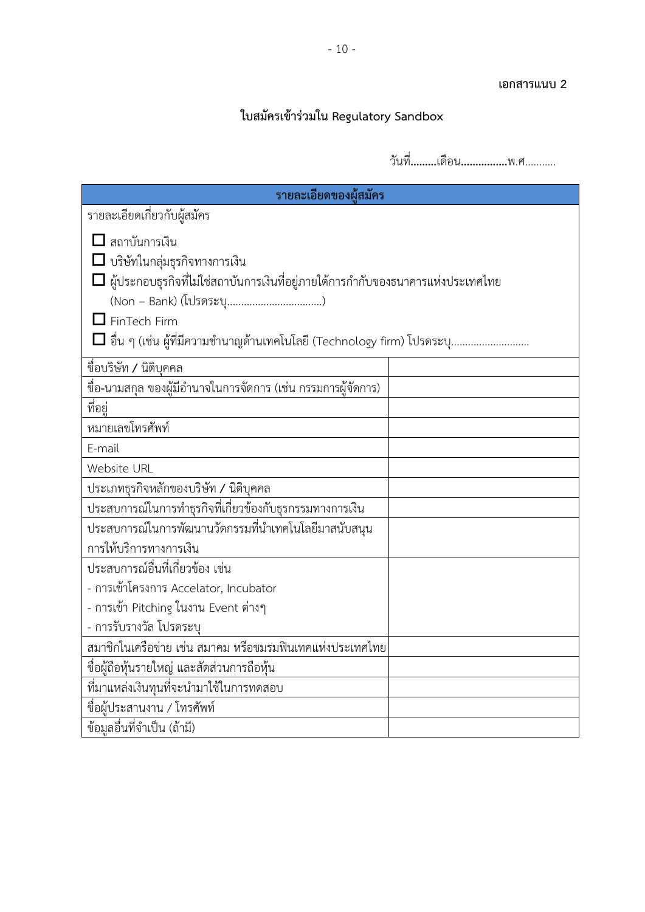### **เอกสารแนบ 2**

## **ใบสมัครเข้าร่วมใน Regulatory Sandbox**

วันที่**………**เดือน**…………….**พ.ศ...........

| รายละเอียดของผู้สมัคร                                                                                                                                                                                                                                                          |  |  |
|--------------------------------------------------------------------------------------------------------------------------------------------------------------------------------------------------------------------------------------------------------------------------------|--|--|
| รายละเอียดเกี่ยวกับผู้สมัคร                                                                                                                                                                                                                                                    |  |  |
| $\Box$ สถาบันการเงิน<br>$\Box$ บริษัทในกลุ่มธุรกิจทางการเงิน<br>$\Box$ ผู้ประกอบธุรกิจที่ไม่ใช่สถาบันการเงินที่อยู่ภายใต้การกำกับของธนาคารแห่งประเทศไทย<br>$\mathsf{\mathsf{J}}$ FinTech Firm<br>$\Box$ อื่น ๆ (เช่น ผู้ที่มีความชำนาญด้านเทคโนโลยี (Technology firm) โปรดระบุ |  |  |
| ชื่อบริษัท / นิติบุคคล                                                                                                                                                                                                                                                         |  |  |
| ชื่อ-นามสกุล ของผู้มีอำนาจในการจัดการ (เช่น กรรมการผู้จัดการ)                                                                                                                                                                                                                  |  |  |
| ที่อยู่                                                                                                                                                                                                                                                                        |  |  |
| หมายเลขโทรศัพท์                                                                                                                                                                                                                                                                |  |  |
| E-mail                                                                                                                                                                                                                                                                         |  |  |
| Website URL                                                                                                                                                                                                                                                                    |  |  |
| ประเภทธุรกิจหลักของบริษัท / นิติบุคคล                                                                                                                                                                                                                                          |  |  |
| ประสบการณ์ในการทำธุรกิจที่เกี่ยวข้องกับธุรกรรมทางการเงิน                                                                                                                                                                                                                       |  |  |
| ประสบการณ์ในการพัฒนานวัตกรรมที่นำเทคโนโลยีมาสนับสนุน<br>การให้บริการทางการเงิน                                                                                                                                                                                                 |  |  |
| ประสบการณ์อื่นที่เกี่ยวข้อง เช่น                                                                                                                                                                                                                                               |  |  |
| - การเข้าโครงการ Accelator, Incubator                                                                                                                                                                                                                                          |  |  |
| - การเข้า Pitching ในงาน Event ต่างๆ                                                                                                                                                                                                                                           |  |  |
| - การรับรางวัล โปรดระบุ                                                                                                                                                                                                                                                        |  |  |
| สมาชิกในเครือข่าย เช่น สมาคม หรือชมรมฟินเทคแห่งประเทศไทย                                                                                                                                                                                                                       |  |  |
| ชื่อผู้ถือหุ้นรายใหญ่ และสัดส่วนการถือหุ้น                                                                                                                                                                                                                                     |  |  |
| ที่มาแหล่งเงินทุนที่จะนำมาใช้ในการทดสอบ                                                                                                                                                                                                                                        |  |  |
| ชื่อผู้ประสานงาน / โทรศัพท์                                                                                                                                                                                                                                                    |  |  |
| ข้อมูลอื่นที่จำเป็น (ถ้ามี)                                                                                                                                                                                                                                                    |  |  |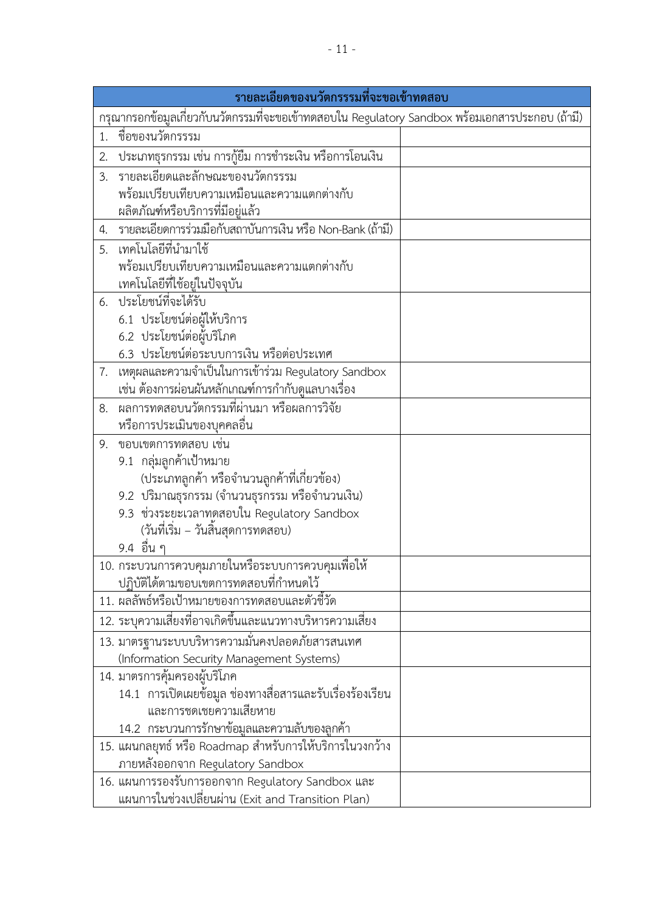| รายละเอียดของนวัตกรรรมที่จะขอเข้าทดสอบ                                                          |                                                                                                 |  |
|-------------------------------------------------------------------------------------------------|-------------------------------------------------------------------------------------------------|--|
| กรุณากรอกข้อมูลเกี่ยวกับนวัตกรรมที่จะขอเข้าทดสอบใน Regulatory Sandbox พร้อมเอกสารประกอบ (ถ้ามี) |                                                                                                 |  |
| 1.                                                                                              | ชื่อของนวัตกรรรม                                                                                |  |
| 2.                                                                                              | ประเภทธุรกรรม เช่น การกู้ยืม การชำระเงิน หรือการโอนเงิน                                         |  |
| 3.                                                                                              | รายละเอียดและลักษณะของนวัตกรรรม                                                                 |  |
|                                                                                                 | พร้อมเปรียบเทียบความเหมือนและความแตกต่างกับ                                                     |  |
|                                                                                                 | ผลิตภัณฑ์หรือบริการที่มีอยู่แล้ว                                                                |  |
| 4.                                                                                              | รายละเอียดการร่วมมือกับสถาบันการเงิน หรือ Non-Bank (ถ้ามี)                                      |  |
| 5.                                                                                              | เทคโนโลยีที่นำมาใช้                                                                             |  |
|                                                                                                 | พร้อมเปรียบเทียบความเหมือนและความแตกต่างกับ                                                     |  |
|                                                                                                 | เทคโนโลยีที่ใช้อยู่ในปัจจุบัน                                                                   |  |
|                                                                                                 | 6. ประโยชน์ที่จะได้รับ                                                                          |  |
|                                                                                                 | 6.1 ประโยชน์ต่อผู้ให้บริการ                                                                     |  |
|                                                                                                 | 6.2 ประโยชน์ต่อผู้บริโภค                                                                        |  |
|                                                                                                 | 6.3 ประโยชน์ต่อระบบการเงิน หรือต่อประเทศ                                                        |  |
| 7.                                                                                              | เหตุผลและความจำเป็นในการเข้าร่วม Regulatory Sandbox                                             |  |
| 8.                                                                                              | เช่น ต้องการผ่อนผันหลักเกณฑ์การกำกับดูแลบางเรื่อง<br>ผลการทดสอบนวัตกรรมที่ผ่านมา หรือผลการวิจัย |  |
|                                                                                                 | หรือการประเมินของบุคคลอื่น                                                                      |  |
| 9.                                                                                              | ขอบเขตการทดสอบ เช่น                                                                             |  |
|                                                                                                 | 9.1 กลุ่มลูกค้าเป้าหมาย                                                                         |  |
|                                                                                                 | (ประเภทลูกค้า หรือจำนวนลูกค้าที่เกี่ยวข้อง)                                                     |  |
|                                                                                                 | 9.2 ปริมาณธุรกรรม (จำนวนธุรกรรม หรือจำนวนเงิน)                                                  |  |
|                                                                                                 | 9.3 ช่วงระยะเวลาทดสอบใน Regulatory Sandbox                                                      |  |
|                                                                                                 | (วันที่เริ่ม – วันสิ้นสุดการทดสอบ)                                                              |  |
|                                                                                                 | 9.4 อื่น ๆ                                                                                      |  |
|                                                                                                 | 10. กระบวนการควบคุมภายในหรือระบบการควบคุมเพื่อให้                                               |  |
|                                                                                                 | ปฏิบัติได้ตามขอบเขตการทดสอบที่กำหนดไว้                                                          |  |
|                                                                                                 | 11. ผลลัพธ์หรือเป้าหมายของการทดสอบและตัวชี้วัด                                                  |  |
|                                                                                                 | 12. ระบุความเสี่ยงที่อาจเกิดขึ้นและแนวทางบริหารความเสี่ยง                                       |  |
|                                                                                                 | 13. มาตรฐานระบบบริหารความมั่นคงปลอดภัยสารสนเทศ                                                  |  |
|                                                                                                 | (Information Security Management Systems)                                                       |  |
|                                                                                                 | 14. มาตรการคุ้มครองผู้บริโภค                                                                    |  |
|                                                                                                 | 14.1 การเปิดเผยข้อมูล ช่องทางสื่อสารและรับเรื่องร้องเรียน                                       |  |
|                                                                                                 | และการชดเชยความเสียหาย                                                                          |  |
|                                                                                                 | 14.2 กระบวนการรักษาข้อมูลและความลับของลูกค้า                                                    |  |
|                                                                                                 | 15. แผนกลยุทธ์ หรือ Roadmap สำหรับการให้บริการในวงกว้าง                                         |  |
|                                                                                                 | ภายหลังออกจาก Regulatory Sandbox                                                                |  |
|                                                                                                 | 16. แผนการรองรับการออกจาก Regulatory Sandbox และ                                                |  |
|                                                                                                 | แผนการในช่วงเปลี่ยนผ่าน (Exit and Transition Plan)                                              |  |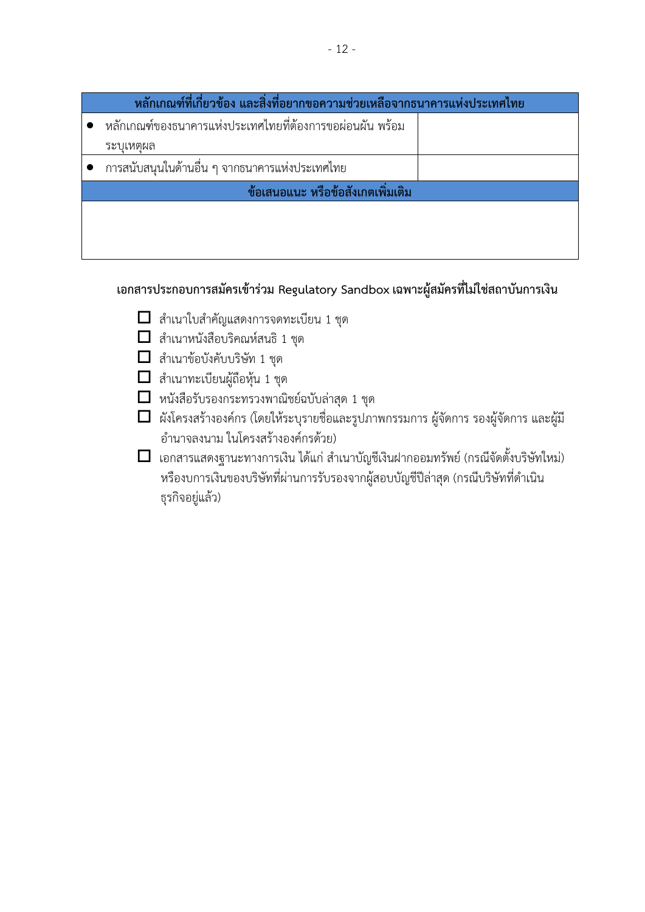| ้หลักเกณฑ์ที่เกี่ยวข้อง และสิ่งที่อยากขอความช่วยเหลือจากธนาคารแห่งประเทศไทย |                                                          |  |
|-----------------------------------------------------------------------------|----------------------------------------------------------|--|
|                                                                             | หลักเกณฑ์ของธนาคารแห่งประเทศไทยที่ต้องการขอผ่อนผัน พร้อม |  |
|                                                                             | ระบุเหตุผล                                               |  |
|                                                                             | การสนับสนุนในด้านอื่น ๆ จากธนาคารแห่งประเทศไทย           |  |
| ข้อเสนอแนะ หรือข้อสังเกตเพิ่มเติม                                           |                                                          |  |
|                                                                             |                                                          |  |
|                                                                             |                                                          |  |
|                                                                             |                                                          |  |

## **เอกสารประกอบการสมัครเข้าร่วม Regulatory Sandbox เฉพาะผู้สมัครที่ไม่ใช่สถาบันการเงิน**

- $\Box$  สำเนาใบสำคัญแสดงการจดทะเบียน 1 ชุด
- $\Box$  สำเนาหนังสือบริคณห์สนธิ 1 ชุด
- $\Box$  สำเนาข้อบังคับบริษัท 1 ชุด
- $\Box$  สำเนาทะเบียนผู้ถือหุ้น 1 ชุด
- $\Box$  หนังสือรับรองกระทรวงพาณิชย์ฉบับล่าสุด 1 ชุด
- ผังโครงสร้างองค์กร (โดยให้ระบุรายชื่อและรูปภาพกรรมการ ผู้จัดการ รองผู้จัดการ และผู้มี อ านาจลงนาม ในโครงสร้างองค์กรด้วย)
- $\Box$  เอกสารแสดงฐานะทางการเงิน ได้แก่ สำเนาบัญชีเงินฝากออมทรัพย์ (กรณีจัดตั้งบริษัทใหม่) หรืองบการเงินของบริษัทที่ผ่านการรับรองจากผู้สอบบัญชีปีล่าสุด (กรณีบริษัทที่ดำเนิน ธุรกิจอยู่แล้ว)